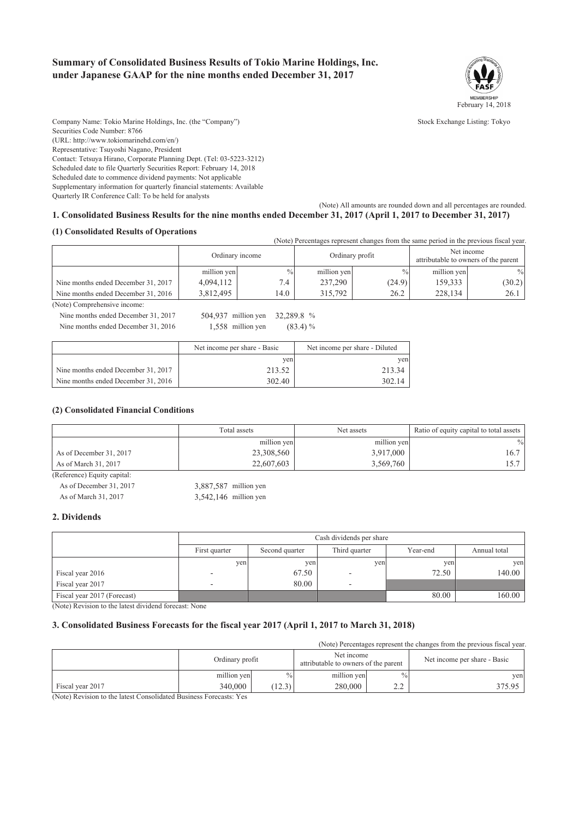## **Summary of Consolidated Business Results of Tokio Marine Holdings, Inc. under Japanese GAAP for the nine months ended December 31, 2017**



Company Name: Tokio Marine Holdings, Inc. (the "Company") Stock Exchange Listing: Tokyo Securities Code Number: 8766 (URL: http://www.tokiomarinehd.com/en/) Representative: Tsuyoshi Nagano, President Contact: Tetsuya Hirano, Corporate Planning Dept. (Tel: 03-5223-3212) Scheduled date to file Quarterly Securities Report: February 14, 2018 Scheduled date to commence dividend payments: Not applicable Supplementary information for quarterly financial statements: Available Quarterly IR Conference Call: To be held for analysts

(Note) All amounts are rounded down and all percentages are rounded.

|                                     |                 |               |                 | (Note) Percentages represent changes from the same period in the previous fiscal year. |                                                    |               |
|-------------------------------------|-----------------|---------------|-----------------|----------------------------------------------------------------------------------------|----------------------------------------------------|---------------|
|                                     | Ordinary income |               | Ordinary profit |                                                                                        | Net income<br>attributable to owners of the parent |               |
|                                     | million yen     | $\frac{0}{0}$ | million yen     | $\%$                                                                                   | million yen                                        | $\frac{0}{0}$ |
| Nine months ended December 31, 2017 | 4.094.112       | 7.4           | 237,290         | (24.9)                                                                                 | 159.333                                            | (30.2)        |
| Nine months ended December 31, 2016 | 3,812,495       | 14.0          | 315.792         | 26.2                                                                                   | 228.134                                            | 26.1          |
| (Note) Comprehensive income:        |                 |               |                 |                                                                                        |                                                    |               |

**1. Consolidated Business Results for the nine months ended December 31, 2017 (April 1, 2017 to December 31, 2017)**

Nine months ended December 31, 2017 504,937 million yen 32,289.8 %

**(1) Consolidated Results of Operations**

Nine months ended December 31, 2016  $1,558$  million yen  $(83.4)$  %

|                                     | Net income per share - Basic | Net income per share - Diluted |
|-------------------------------------|------------------------------|--------------------------------|
|                                     | ven                          | ven                            |
| Nine months ended December 31, 2017 | 213.52                       | 213.34                         |
| Nine months ended December 31, 2016 | 302.40                       | 302.14                         |

### **(2) Consolidated Financial Conditions**

|                             | Total assets | Net assets  | Ratio of equity capital to total assets |
|-----------------------------|--------------|-------------|-----------------------------------------|
|                             | million yen  | million yen | $\frac{0}{0}$                           |
| As of December 31, 2017     | 23,308,560   | 3,917,000   | 16.7                                    |
| As of March 31, 2017        | 22,607,603   | 3,569,760   | 15.7                                    |
| (Reference) Equity capital: |              |             |                                         |

| As of December 31, 2017 | 3,887,587 million yen   |
|-------------------------|-------------------------|
| As of March 31, 2017    | $3,542,146$ million yen |

### **2. Dividends**

|                             |               | Cash dividends per share |               |          |              |  |
|-----------------------------|---------------|--------------------------|---------------|----------|--------------|--|
|                             | First quarter | Second quarter           | Third quarter | Year-end | Annual total |  |
|                             | ven           | yen                      | ven           | yen      | yen          |  |
| Fiscal year 2016            |               | 67.50                    |               | 72.50    | 140.00       |  |
| Fiscal year 2017            | -             | 80.00                    | -             |          |              |  |
| Fiscal year 2017 (Forecast) |               |                          |               | 80.00    | 160.00       |  |

(Note) Revision to the latest dividend forecast: None

### **3. Consolidated Business Forecasts for the fiscal year 2017 (April 1, 2017 to March 31, 2018)**

(Note) Percentages represent the changes from the previous fiscal year.

|                       | Ordinary profit |               | Net income<br>attributable to owners of the parent |                      | Net income per share - Basic |
|-----------------------|-----------------|---------------|----------------------------------------------------|----------------------|------------------------------|
|                       | million yen     | $\frac{0}{0}$ | million yen                                        | $\frac{0}{0}$        | ven                          |
| Fiscal year 2017<br>. | 340,000         | 12.3)         | 280,000                                            | $\sim$ $\sim$<br>ے ۔ | 375.95                       |

(Note) Revision to the latest Consolidated Business Forecasts: Yes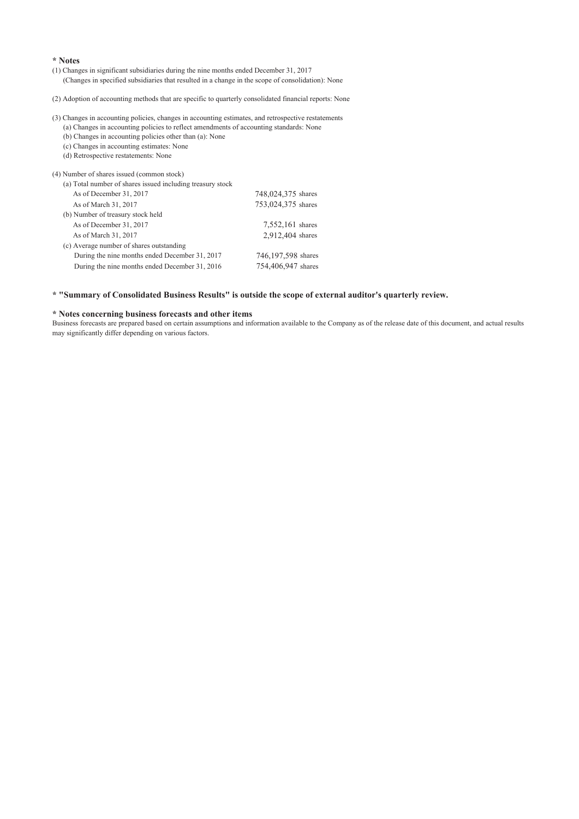### **\* Notes**

(1) Changes in significant subsidiaries during the nine months ended December 31, 2017 (Changes in specified subsidiaries that resulted in a change in the scope of consolidation): None

(2) Adoption of accounting methods that are specific to quarterly consolidated financial reports: None

(3) Changes in accounting policies, changes in accounting estimates, and retrospective restatements

(a) Changes in accounting policies to reflect amendments of accounting standards: None (b) Changes in accounting policies other than (a): None

(c) Changes in accounting estimates: None

(d) Retrospective restatements: None

| (4) Number of shares issued (common stock)                 |                    |
|------------------------------------------------------------|--------------------|
| (a) Total number of shares issued including treasury stock |                    |
| As of December 31, 2017                                    | 748,024,375 shares |
| As of March 31, 2017                                       | 753,024,375 shares |
| (b) Number of treasury stock held                          |                    |
| As of December 31, 2017                                    | 7,552,161 shares   |
| As of March 31, 2017                                       | 2,912,404 shares   |
| (c) Average number of shares outstanding                   |                    |
| During the nine months ended December 31, 2017             | 746,197,598 shares |
| During the nine months ended December 31, 2016             | 754,406,947 shares |
|                                                            |                    |

### **\* "Summary of Consolidated Business Results" is outside the scope of external auditor's quarterly review.**

### **\* Notes concerning business forecasts and other items**

Business forecasts are prepared based on certain assumptions and information available to the Company as of the release date of this document, and actual results may significantly differ depending on various factors.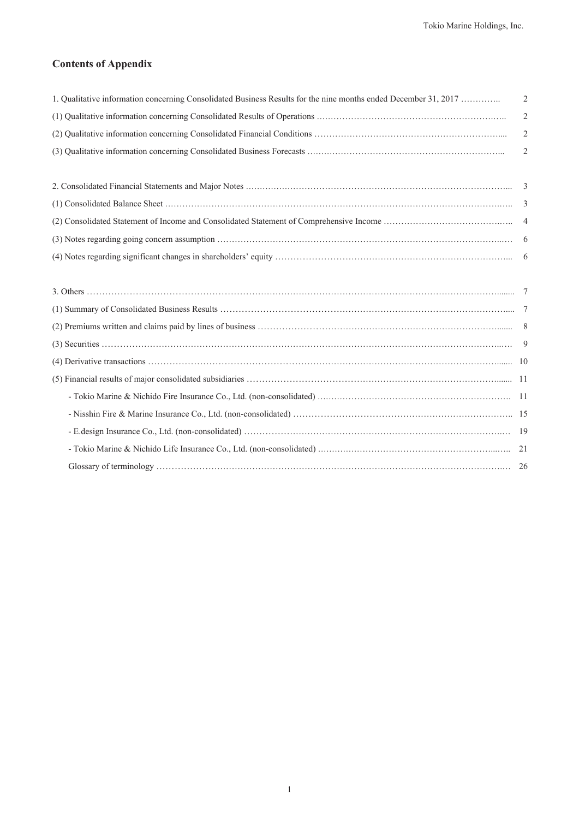## **Contents of Appendix**

| 1. Qualitative information concerning Consolidated Business Results for the nine months ended December 31, 2017 | $\overline{2}$ |
|-----------------------------------------------------------------------------------------------------------------|----------------|
|                                                                                                                 | $\overline{2}$ |
|                                                                                                                 | $\overline{2}$ |
|                                                                                                                 | $\overline{2}$ |
|                                                                                                                 |                |
|                                                                                                                 |                |
|                                                                                                                 |                |
|                                                                                                                 |                |
|                                                                                                                 |                |
|                                                                                                                 |                |
|                                                                                                                 |                |
|                                                                                                                 |                |
|                                                                                                                 |                |
|                                                                                                                 |                |
|                                                                                                                 |                |
|                                                                                                                 |                |
|                                                                                                                 |                |

- Tokio Marine & Nichido Fire Insurance Co., Ltd. (non-consolidated) …………………………………………………………. 11 - Nisshin Fire & Marine Insurance Co., Ltd. (non-consolidated) ……………………………………………………………….. 15 - E.design Insurance Co., Ltd. (non-consolidated) …………………………………………………………………………….… 19 - Tokio Marine & Nichido Life Insurance Co., Ltd. (non-consolidated) ……………………………………………………...….. 21 Glossary of terminology ……………………………………………………………………………………………………….… 26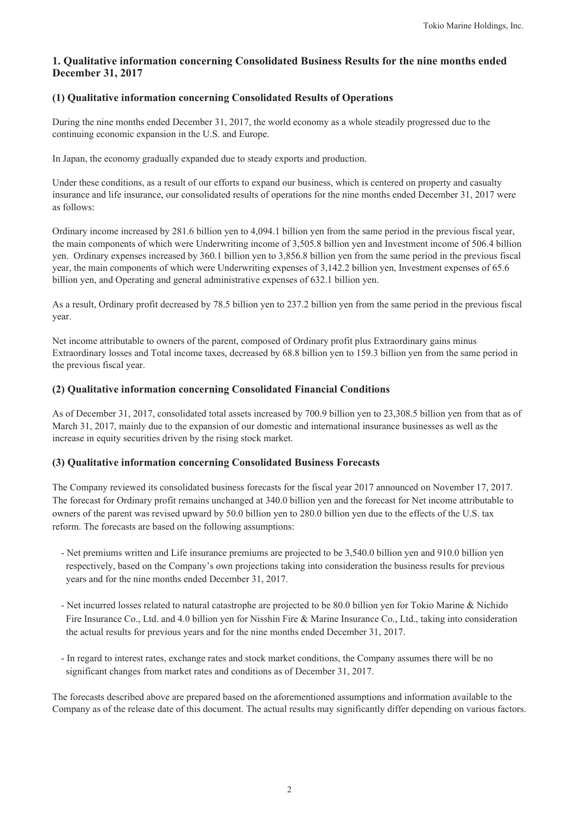## **1. Qualitative information concerning Consolidated Business Results for the nine months ended December 31, 2017**

## **(1) Qualitative information concerning Consolidated Results of Operations**

During the nine months ended December 31, 2017, the world economy as a whole steadily progressed due to the continuing economic expansion in the U.S. and Europe.

In Japan, the economy gradually expanded due to steady exports and production.

Under these conditions, as a result of our efforts to expand our business, which is centered on property and casualty insurance and life insurance, our consolidated results of operations for the nine months ended December 31, 2017 were as follows:

Ordinary income increased by 281.6 billion yen to 4,094.1 billion yen from the same period in the previous fiscal year, the main components of which were Underwriting income of 3,505.8 billion yen and Investment income of 506.4 billion yen. Ordinary expenses increased by 360.1 billion yen to 3,856.8 billion yen from the same period in the previous fiscal year, the main components of which were Underwriting expenses of 3,142.2 billion yen, Investment expenses of 65.6 billion yen, and Operating and general administrative expenses of 632.1 billion yen.

As a result, Ordinary profit decreased by 78.5 billion yen to 237.2 billion yen from the same period in the previous fiscal year.

Net income attributable to owners of the parent, composed of Ordinary profit plus Extraordinary gains minus Extraordinary losses and Total income taxes, decreased by 68.8 billion yen to 159.3 billion yen from the same period in the previous fiscal year.

## **(2) Qualitative information concerning Consolidated Financial Conditions**

As of December 31, 2017, consolidated total assets increased by 700.9 billion yen to 23,308.5 billion yen from that as of March 31, 2017, mainly due to the expansion of our domestic and international insurance businesses as well as the increase in equity securities driven by the rising stock market.

## **(3) Qualitative information concerning Consolidated Business Forecasts**

The Company reviewed its consolidated business forecasts for the fiscal year 2017 announced on November 17, 2017. The forecast for Ordinary profit remains unchanged at 340.0 billion yen and the forecast for Net income attributable to owners of the parent was revised upward by 50.0 billion yen to 280.0 billion yen due to the effects of the U.S. tax reform. The forecasts are based on the following assumptions:

- Net premiums written and Life insurance premiums are projected to be 3,540.0 billion yen and 910.0 billion yen respectively, based on the Company's own projections taking into consideration the business results for previous years and for the nine months ended December 31, 2017.
- Net incurred losses related to natural catastrophe are projected to be 80.0 billion yen for Tokio Marine & Nichido Fire Insurance Co., Ltd. and 4.0 billion yen for Nisshin Fire & Marine Insurance Co., Ltd., taking into consideration the actual results for previous years and for the nine months ended December 31, 2017.
- In regard to interest rates, exchange rates and stock market conditions, the Company assumes there will be no significant changes from market rates and conditions as of December 31, 2017.

The forecasts described above are prepared based on the aforementioned assumptions and information available to the Company as of the release date of this document. The actual results may significantly differ depending on various factors.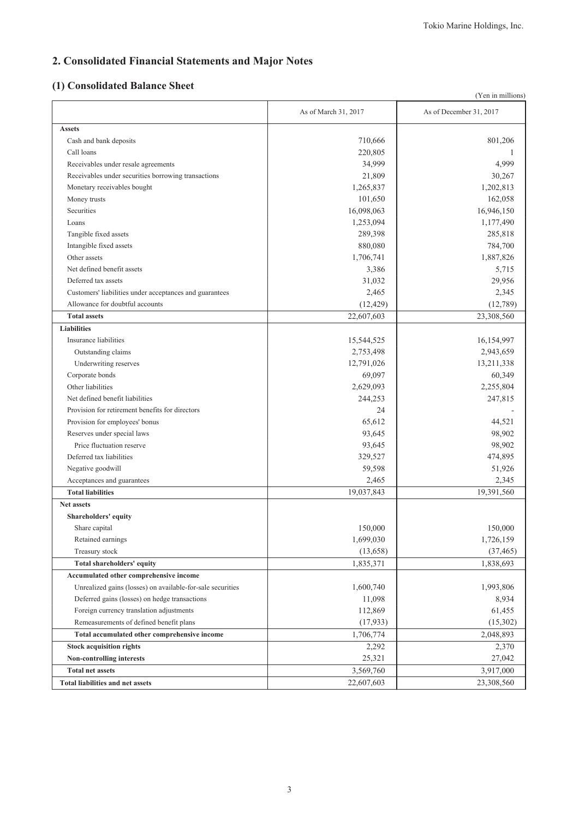# **2. Consolidated Financial Statements and Major Notes**

# **(1) Consolidated Balance Sheet**

|                                                            |                      | (Yen in millions)       |
|------------------------------------------------------------|----------------------|-------------------------|
|                                                            | As of March 31, 2017 | As of December 31, 2017 |
| <b>Assets</b>                                              |                      |                         |
| Cash and bank deposits                                     | 710,666              | 801,206                 |
| Call loans                                                 | 220,805              | -1                      |
| Receivables under resale agreements                        | 34,999               | 4,999                   |
| Receivables under securities borrowing transactions        | 21,809               | 30,267                  |
| Monetary receivables bought                                | 1,265,837            | 1,202,813               |
| Money trusts                                               | 101,650              | 162,058                 |
| Securities                                                 | 16,098,063           | 16,946,150              |
| Loans                                                      | 1,253,094            | 1,177,490               |
| Tangible fixed assets                                      | 289,398              | 285,818                 |
| Intangible fixed assets                                    | 880,080              | 784,700                 |
| Other assets                                               | 1,706,741            | 1,887,826               |
| Net defined benefit assets                                 | 3,386                | 5,715                   |
| Deferred tax assets                                        | 31,032               | 29,956                  |
| Customers' liabilities under acceptances and guarantees    | 2,465                | 2,345                   |
| Allowance for doubtful accounts                            | (12, 429)            | (12, 789)               |
| <b>Total assets</b>                                        | 22,607,603           | 23,308,560              |
| <b>Liabilities</b>                                         |                      |                         |
| Insurance liabilities                                      | 15,544,525           | 16,154,997              |
| Outstanding claims                                         | 2,753,498            | 2,943,659               |
| Underwriting reserves                                      | 12,791,026           | 13,211,338              |
| Corporate bonds                                            | 69,097               | 60,349                  |
| Other liabilities                                          | 2,629,093            | 2,255,804               |
| Net defined benefit liabilities                            | 244,253              | 247,815                 |
| Provision for retirement benefits for directors            | 24                   |                         |
| Provision for employees' bonus                             | 65,612               | 44,521                  |
| Reserves under special laws                                | 93,645               | 98,902                  |
| Price fluctuation reserve                                  | 93,645               | 98,902                  |
| Deferred tax liabilities                                   | 329,527              | 474,895                 |
| Negative goodwill                                          | 59,598               | 51,926                  |
| Acceptances and guarantees                                 | 2,465                | 2,345                   |
| <b>Total liabilities</b>                                   | 19,037,843           | 19,391,560              |
| Net assets                                                 |                      |                         |
| Shareholders' equity                                       |                      |                         |
| Share capital                                              | 150,000              | 150,000                 |
| Retained earnings                                          | 1,699,030            | 1,726,159               |
| Treasury stock                                             | (13,658)             | (37, 465)               |
| Total shareholders' equity                                 | 1,835,371            | 1,838,693               |
| Accumulated other comprehensive income                     |                      |                         |
| Unrealized gains (losses) on available-for-sale securities | 1,600,740            | 1,993,806               |
| Deferred gains (losses) on hedge transactions              | 11,098               | 8,934                   |
| Foreign currency translation adjustments                   | 112,869              | 61,455                  |
| Remeasurements of defined benefit plans                    | (17, 933)            | (15,302)                |
| Total accumulated other comprehensive income               | 1,706,774            | 2,048,893               |
| <b>Stock acquisition rights</b>                            | 2,292                | 2,370                   |
| Non-controlling interests                                  | 25,321               | 27,042                  |
| <b>Total net assets</b>                                    | 3,569,760            | 3,917,000               |
| <b>Total liabilities and net assets</b>                    | 22,607,603           | 23,308,560              |
|                                                            |                      |                         |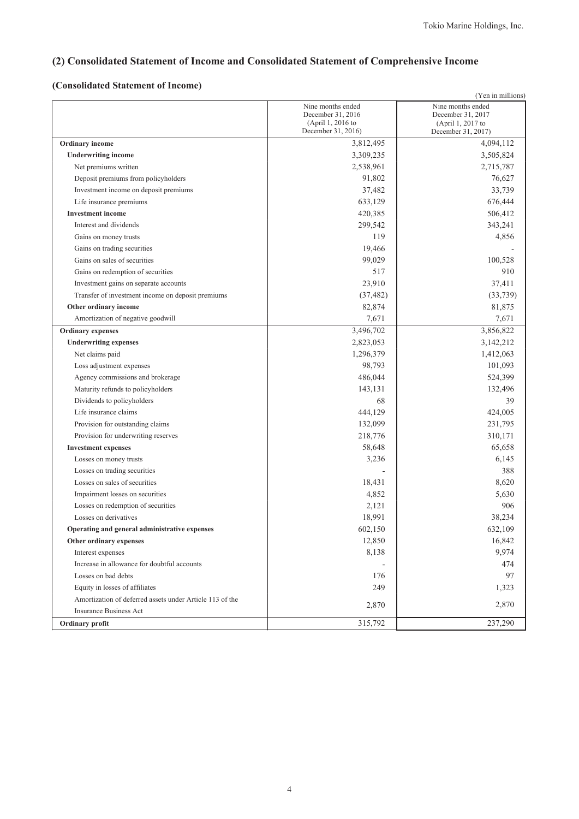# **(2) Consolidated Statement of Income and Consolidated Statement of Comprehensive Income**

# **(Consolidated Statement of Income)**

|                                                          |                                        | (Yen in millions)                      |
|----------------------------------------------------------|----------------------------------------|----------------------------------------|
|                                                          | Nine months ended                      | Nine months ended                      |
|                                                          | December 31, 2016<br>(April 1, 2016 to | December 31, 2017<br>(April 1, 2017 to |
|                                                          | December 31, 2016)                     | December 31, 2017)                     |
| <b>Ordinary income</b>                                   | 3,812,495                              | 4,094,112                              |
| <b>Underwriting income</b>                               | 3,309,235                              | 3,505,824                              |
| Net premiums written                                     | 2,538,961                              | 2,715,787                              |
| Deposit premiums from policyholders                      | 91,802                                 | 76,627                                 |
| Investment income on deposit premiums                    | 37,482                                 | 33,739                                 |
| Life insurance premiums                                  | 633,129                                | 676,444                                |
| <b>Investment</b> income                                 | 420,385                                | 506,412                                |
| Interest and dividends                                   | 299,542                                | 343,241                                |
| Gains on money trusts                                    | 119                                    | 4,856                                  |
| Gains on trading securities                              | 19,466                                 |                                        |
| Gains on sales of securities                             | 99,029                                 | 100,528                                |
| Gains on redemption of securities                        | 517                                    | 910                                    |
| Investment gains on separate accounts                    | 23,910                                 | 37,411                                 |
| Transfer of investment income on deposit premiums        | (37, 482)                              | (33, 739)                              |
| Other ordinary income                                    | 82,874                                 | 81,875                                 |
| Amortization of negative goodwill                        | 7,671                                  | 7,671                                  |
| <b>Ordinary expenses</b>                                 | 3,496,702                              | 3,856,822                              |
| <b>Underwriting expenses</b>                             | 2,823,053                              | 3,142,212                              |
| Net claims paid                                          | 1,296,379                              | 1,412,063                              |
| Loss adjustment expenses                                 | 98,793                                 | 101,093                                |
| Agency commissions and brokerage                         | 486,044                                | 524,399                                |
| Maturity refunds to policyholders                        | 143,131                                | 132,496                                |
| Dividends to policyholders                               | 68                                     | 39                                     |
| Life insurance claims                                    | 444,129                                | 424,005                                |
| Provision for outstanding claims                         | 132,099                                | 231,795                                |
| Provision for underwriting reserves                      | 218,776                                | 310,171                                |
| <b>Investment expenses</b>                               | 58,648                                 | 65,658                                 |
| Losses on money trusts                                   | 3,236                                  | 6,145                                  |
| Losses on trading securities                             |                                        | 388                                    |
| Losses on sales of securities                            | 18,431                                 | 8,620                                  |
| Impairment losses on securities                          | 4,852                                  | 5,630                                  |
| Losses on redemption of securities                       | 2,121                                  | 906                                    |
| Losses on derivatives                                    | 18,991                                 | 38,234                                 |
| Operating and general administrative expenses            | 602,150                                | 632,109                                |
| Other ordinary expenses                                  | 12,850                                 | 16,842                                 |
| Interest expenses                                        | 8,138                                  | 9,974                                  |
| Increase in allowance for doubtful accounts              |                                        | 474                                    |
| Losses on bad debts                                      | 176                                    | 97                                     |
| Equity in losses of affiliates                           | 249                                    | 1,323                                  |
| Amortization of deferred assets under Article 113 of the |                                        |                                        |
| <b>Insurance Business Act</b>                            | 2,870                                  | 2,870                                  |
| Ordinary profit                                          | 315,792                                | 237,290                                |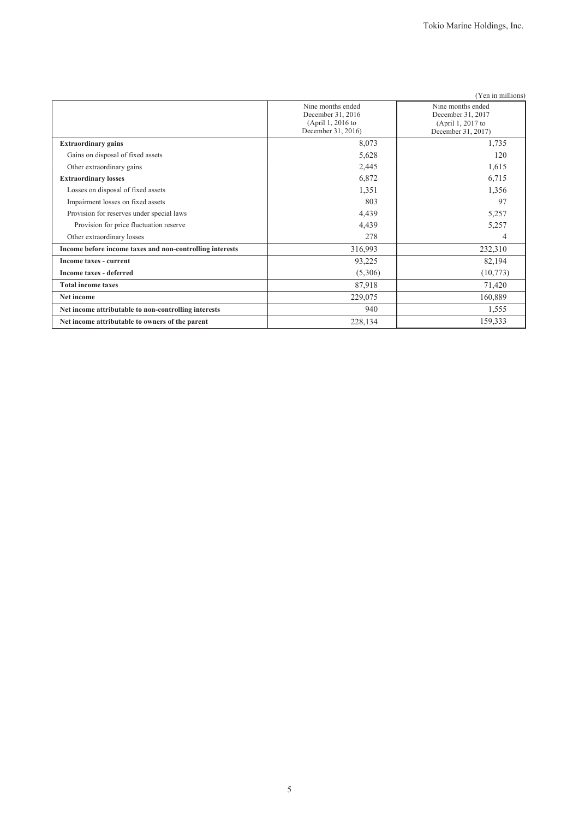|                                                          |                                                                                   | (Yen in millions)                                                                 |
|----------------------------------------------------------|-----------------------------------------------------------------------------------|-----------------------------------------------------------------------------------|
|                                                          | Nine months ended<br>December 31, 2016<br>(April 1, 2016 to<br>December 31, 2016) | Nine months ended<br>December 31, 2017<br>(April 1, 2017 to<br>December 31, 2017) |
| <b>Extraordinary gains</b>                               | 8,073                                                                             | 1,735                                                                             |
| Gains on disposal of fixed assets                        | 5,628                                                                             | 120                                                                               |
| Other extraordinary gains                                | 2,445                                                                             | 1,615                                                                             |
| <b>Extraordinary losses</b>                              | 6,872                                                                             | 6,715                                                                             |
| Losses on disposal of fixed assets                       | 1,351                                                                             | 1,356                                                                             |
| Impairment losses on fixed assets                        | 803                                                                               | 97                                                                                |
| Provision for reserves under special laws                | 4,439                                                                             | 5,257                                                                             |
| Provision for price fluctuation reserve                  | 4,439                                                                             | 5,257                                                                             |
| Other extraordinary losses                               | 278                                                                               | 4                                                                                 |
| Income before income taxes and non-controlling interests | 316,993                                                                           | 232,310                                                                           |
| Income taxes - current                                   | 93,225                                                                            | 82,194                                                                            |
| <b>Income taxes - deferred</b>                           | (5,306)                                                                           | (10,773)                                                                          |
| <b>Total income taxes</b>                                | 87,918                                                                            | 71,420                                                                            |
| Net income                                               | 229,075                                                                           | 160,889                                                                           |
| Net income attributable to non-controlling interests     | 940                                                                               | 1,555                                                                             |
| Net income attributable to owners of the parent          | 228,134                                                                           | 159,333                                                                           |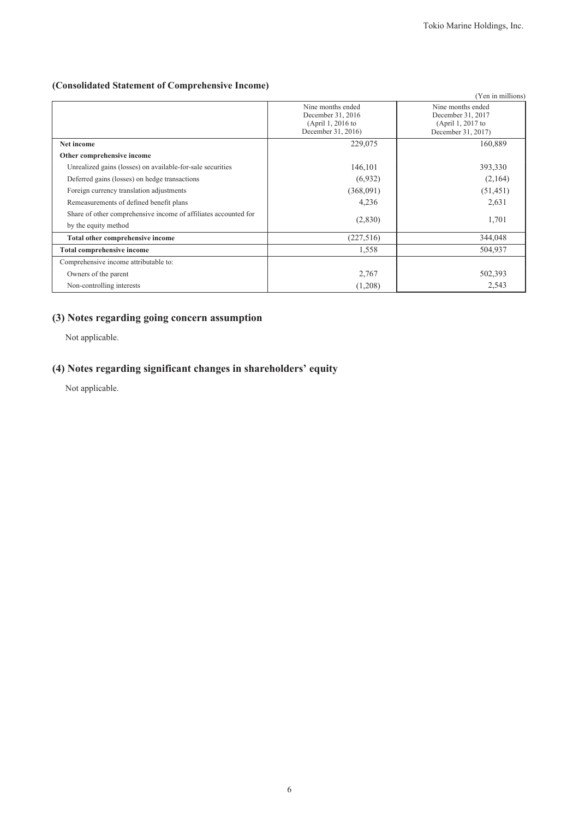## **(Consolidated Statement of Comprehensive Income)**

|                                                                                         |                                                                                   | (Yen in millions)                                                                 |
|-----------------------------------------------------------------------------------------|-----------------------------------------------------------------------------------|-----------------------------------------------------------------------------------|
|                                                                                         | Nine months ended<br>December 31, 2016<br>(April 1, 2016 to<br>December 31, 2016) | Nine months ended<br>December 31, 2017<br>(April 1, 2017 to<br>December 31, 2017) |
| Net income                                                                              | 229,075                                                                           | 160,889                                                                           |
| Other comprehensive income                                                              |                                                                                   |                                                                                   |
| Unrealized gains (losses) on available-for-sale securities                              | 146,101                                                                           | 393,330                                                                           |
| Deferred gains (losses) on hedge transactions                                           | (6,932)                                                                           | (2,164)                                                                           |
| Foreign currency translation adjustments                                                | (368,091)                                                                         | (51, 451)                                                                         |
| Remeasurements of defined benefit plans                                                 | 4,236                                                                             | 2,631                                                                             |
| Share of other comprehensive income of affiliates accounted for<br>by the equity method | (2,830)                                                                           | 1,701                                                                             |
| Total other comprehensive income                                                        | (227, 516)                                                                        | 344,048                                                                           |
| <b>Total comprehensive income</b>                                                       | 1,558                                                                             | 504,937                                                                           |
| Comprehensive income attributable to:                                                   |                                                                                   |                                                                                   |
| Owners of the parent                                                                    | 2,767                                                                             | 502,393                                                                           |
| Non-controlling interests                                                               | (1,208)                                                                           | 2,543                                                                             |

# **(3) Notes regarding going concern assumption**

Not applicable.

# **(4) Notes regarding significant changes in shareholders' equity**

Not applicable.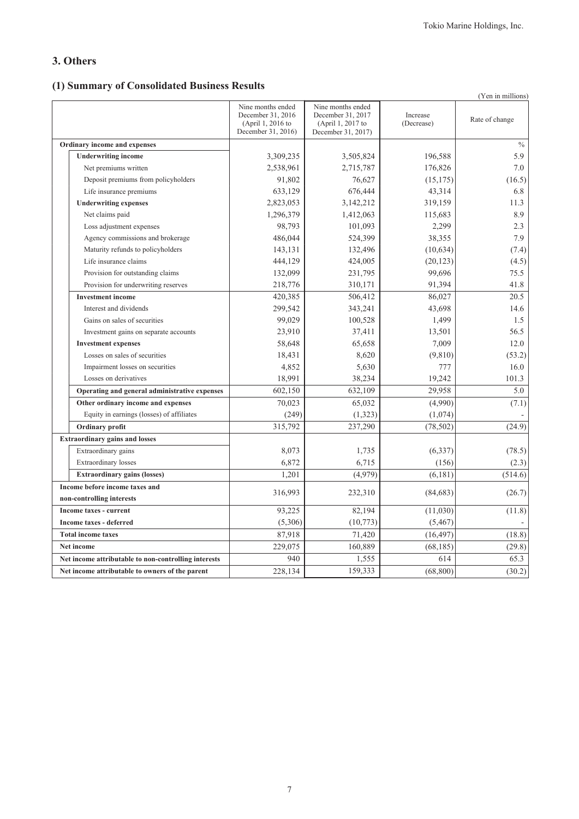## **3. Others**

# **(1) Summary of Consolidated Business Results**

|                                                      |                                                                                   |                                                                                   |                        | (Yen in millions) |
|------------------------------------------------------|-----------------------------------------------------------------------------------|-----------------------------------------------------------------------------------|------------------------|-------------------|
|                                                      | Nine months ended<br>December 31, 2016<br>(April 1, 2016 to<br>December 31, 2016) | Nine months ended<br>December 31, 2017<br>(April 1, 2017 to<br>December 31, 2017) | Increase<br>(Decrease) | Rate of change    |
| Ordinary income and expenses                         |                                                                                   |                                                                                   |                        | $\%$              |
| <b>Underwriting income</b>                           | 3,309,235                                                                         | 3,505,824                                                                         | 196,588                | 5.9               |
| Net premiums written                                 | 2,538,961                                                                         | 2,715,787                                                                         | 176,826                | 7.0               |
| Deposit premiums from policyholders                  | 91,802                                                                            | 76,627                                                                            | (15, 175)              | (16.5)            |
| Life insurance premiums                              | 633,129                                                                           | 676,444                                                                           | 43,314                 | 6.8               |
| <b>Underwriting expenses</b>                         | 2,823,053                                                                         | 3,142,212                                                                         | 319,159                | 11.3              |
| Net claims paid                                      | 1,296,379                                                                         | 1,412,063                                                                         | 115,683                | 8.9               |
| Loss adjustment expenses                             | 98,793                                                                            | 101,093                                                                           | 2,299                  | 2.3               |
| Agency commissions and brokerage                     | 486,044                                                                           | 524,399                                                                           | 38,355                 | 7.9               |
| Maturity refunds to policyholders                    | 143,131                                                                           | 132,496                                                                           | (10, 634)              | (7.4)             |
| Life insurance claims                                | 444,129                                                                           | 424,005                                                                           | (20, 123)              | (4.5)             |
| Provision for outstanding claims                     | 132,099                                                                           | 231,795                                                                           | 99,696                 | 75.5              |
| Provision for underwriting reserves                  | 218,776                                                                           | 310,171                                                                           | 91,394                 | 41.8              |
| <b>Investment</b> income                             | 420,385                                                                           | 506,412                                                                           | 86,027                 | 20.5              |
| Interest and dividends                               | 299,542                                                                           | 343,241                                                                           | 43,698                 | 14.6              |
| Gains on sales of securities                         | 99,029                                                                            | 100,528                                                                           | 1,499                  | 1.5               |
| Investment gains on separate accounts                | 23,910                                                                            | 37,411                                                                            | 13,501                 | 56.5              |
| <b>Investment expenses</b>                           | 58,648                                                                            | 65,658                                                                            | 7,009                  | 12.0              |
| Losses on sales of securities                        | 18,431                                                                            | 8,620                                                                             | (9,810)                | (53.2)            |
| Impairment losses on securities                      | 4,852                                                                             | 5,630                                                                             | 777                    | 16.0              |
| Losses on derivatives                                | 18,991                                                                            | 38,234                                                                            | 19,242                 | 101.3             |
| Operating and general administrative expenses        | 602,150                                                                           | 632,109                                                                           | 29,958                 | 5.0               |
| Other ordinary income and expenses                   | 70,023                                                                            | 65,032                                                                            | (4,990)                | (7.1)             |
| Equity in earnings (losses) of affiliates            | (249)                                                                             | (1, 323)                                                                          | (1,074)                |                   |
| Ordinary profit                                      | 315,792                                                                           | 237,290                                                                           | (78, 502)              | (24.9)            |
| <b>Extraordinary gains and losses</b>                |                                                                                   |                                                                                   |                        |                   |
| Extraordinary gains                                  | 8,073                                                                             | 1,735                                                                             | (6, 337)               | (78.5)            |
| Extraordinary losses                                 | 6,872                                                                             | 6,715                                                                             | (156)                  | (2.3)             |
| <b>Extraordinary gains (losses)</b>                  | 1,201                                                                             | (4,979)                                                                           | (6,181)                | (514.6)           |
| Income before income taxes and                       | 316,993                                                                           |                                                                                   |                        |                   |
| non-controlling interests                            |                                                                                   | 232,310                                                                           | (84, 683)              | (26.7)            |
| Income taxes - current                               | 93,225                                                                            | 82,194                                                                            | (11,030)               | (11.8)            |
| Income taxes - deferred                              | (5,306)                                                                           | (10, 773)                                                                         | (5, 467)               |                   |
| <b>Total income taxes</b>                            | 87,918                                                                            | 71,420                                                                            | (16, 497)              | (18.8)            |
| Net income                                           | 229,075                                                                           | 160,889                                                                           | (68, 185)              | (29.8)            |
| Net income attributable to non-controlling interests | 940                                                                               | 1,555                                                                             | 614                    | 65.3              |
| Net income attributable to owners of the parent      | 228,134                                                                           | 159,333                                                                           | (68, 800)              | (30.2)            |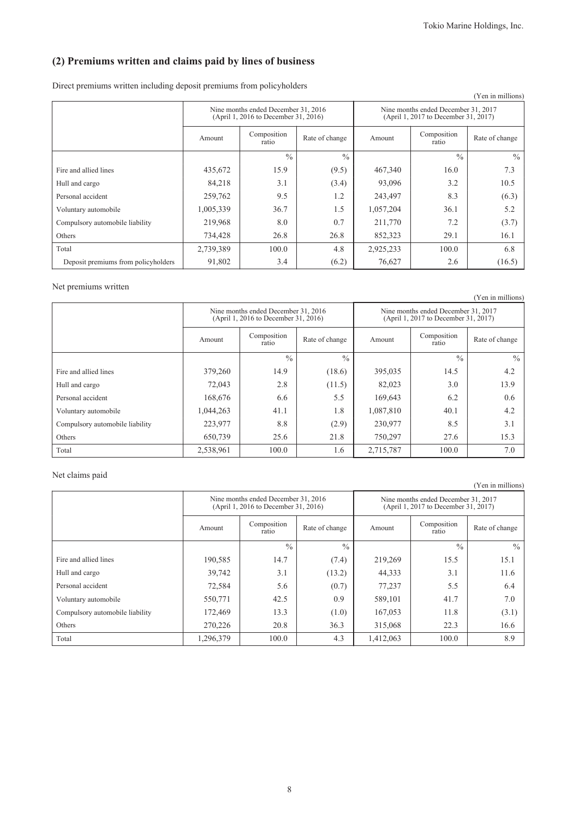# **(2) Premiums written and claims paid by lines of business**

Direct premiums written including deposit premiums from policyholders

|                                     |           |                                                                             |                |                                                                             |                      | (Yen in millions) |  |
|-------------------------------------|-----------|-----------------------------------------------------------------------------|----------------|-----------------------------------------------------------------------------|----------------------|-------------------|--|
|                                     |           | Nine months ended December 31, 2016<br>(April 1, 2016 to December 31, 2016) |                | Nine months ended December 31, 2017<br>(April 1, 2017 to December 31, 2017) |                      |                   |  |
|                                     | Amount    | Composition<br>ratio                                                        | Rate of change | Amount                                                                      | Composition<br>ratio | Rate of change    |  |
|                                     |           | $\frac{0}{0}$                                                               | $\frac{0}{0}$  |                                                                             | $\frac{0}{0}$        | $\frac{0}{0}$     |  |
| Fire and allied lines               | 435,672   | 15.9                                                                        | (9.5)          | 467,340                                                                     | 16.0                 | 7.3               |  |
| Hull and cargo                      | 84,218    | 3.1                                                                         | (3.4)          | 93,096                                                                      | 3.2                  | 10.5              |  |
| Personal accident                   | 259,762   | 9.5                                                                         | 1.2            | 243,497                                                                     | 8.3                  | (6.3)             |  |
| Voluntary automobile                | 1,005,339 | 36.7                                                                        | 1.5            | 1,057,204                                                                   | 36.1                 | 5.2               |  |
| Compulsory automobile liability     | 219,968   | 8.0                                                                         | 0.7            | 211,770                                                                     | 7.2                  | (3.7)             |  |
| Others                              | 734,428   | 26.8                                                                        | 26.8           | 852,323                                                                     | 29.1                 | 16.1              |  |
| Total                               | 2,739,389 | 100.0                                                                       | 4.8            | 2,925,233                                                                   | 100.0                | 6.8               |  |
| Deposit premiums from policyholders | 91,802    | 3.4                                                                         | (6.2)          | 76,627                                                                      | 2.6                  | (16.5)            |  |

Net premiums written

|                                 |                                                  |                                                                             |               |                                                                             |                      | (Yen in millions) |  |
|---------------------------------|--------------------------------------------------|-----------------------------------------------------------------------------|---------------|-----------------------------------------------------------------------------|----------------------|-------------------|--|
|                                 |                                                  | Nine months ended December 31, 2016<br>(April 1, 2016 to December 31, 2016) |               | Nine months ended December 31, 2017<br>(April 1, 2017 to December 31, 2017) |                      |                   |  |
|                                 | Composition<br>Rate of change<br>Amount<br>ratio |                                                                             |               | Amount                                                                      | Composition<br>ratio | Rate of change    |  |
|                                 |                                                  | $\frac{0}{0}$                                                               | $\frac{0}{0}$ |                                                                             | $\frac{0}{0}$        | $\frac{0}{0}$     |  |
| Fire and allied lines           | 379,260                                          | 14.9                                                                        | (18.6)        | 395,035                                                                     | 14.5                 | 4.2               |  |
| Hull and cargo                  | 72,043                                           | 2.8                                                                         | (11.5)        | 82,023                                                                      | 3.0                  | 13.9              |  |
| Personal accident               | 168,676                                          | 6.6                                                                         | 5.5           | 169,643                                                                     | 6.2                  | 0.6               |  |
| Voluntary automobile            | 1,044,263                                        | 41.1                                                                        | 1.8           | 1,087,810                                                                   | 40.1                 | 4.2               |  |
| Compulsory automobile liability | 223,977                                          | 8.8                                                                         | (2.9)         | 230,977                                                                     | 8.5                  | 3.1               |  |
| Others                          | 650,739                                          | 25.6                                                                        | 21.8          | 750,297                                                                     | 27.6                 | 15.3              |  |
| Total                           | 2,538,961                                        | 100.0                                                                       | 1.6           | 2,715,787                                                                   | 100.0                | 7.0               |  |

### Net claims paid

(Yen in millions)

|                                 |                         | Nine months ended December 31, 2016<br>(April 1, 2016 to December 31, 2016) |               | Nine months ended December 31, 2017<br>(April 1, 2017 to December 31, 2017) |                      |                |  |
|---------------------------------|-------------------------|-----------------------------------------------------------------------------|---------------|-----------------------------------------------------------------------------|----------------------|----------------|--|
|                                 | Amount                  | Composition<br>Rate of change<br>ratio                                      |               | Amount                                                                      | Composition<br>ratio | Rate of change |  |
|                                 |                         | $\frac{0}{0}$                                                               | $\frac{0}{0}$ |                                                                             | $\frac{0}{0}$        | $\frac{0}{0}$  |  |
| Fire and allied lines           | 190,585                 | 14.7                                                                        | (7.4)         | 219,269                                                                     | 15.5                 | 15.1           |  |
| Hull and cargo                  | 39,742                  | 3.1                                                                         | (13.2)        | 44,333                                                                      | 3.1                  | 11.6           |  |
| Personal accident               | 72,584                  | 5.6                                                                         | (0.7)         | 77,237                                                                      | 5.5                  | 6.4            |  |
| Voluntary automobile            | 550,771                 | 42.5                                                                        | 0.9           | 589,101                                                                     | 41.7                 | 7.0            |  |
| Compulsory automobile liability | 172,469                 | 13.3                                                                        | (1.0)         | 167,053                                                                     | 11.8                 | (3.1)          |  |
| Others                          | 20.8<br>270,226<br>36.3 |                                                                             | 315,068       | 22.3                                                                        | 16.6                 |                |  |
| Total                           | 1.296.379               | 100.0                                                                       | 4.3           | 1,412,063                                                                   | 100.0                | 8.9            |  |

8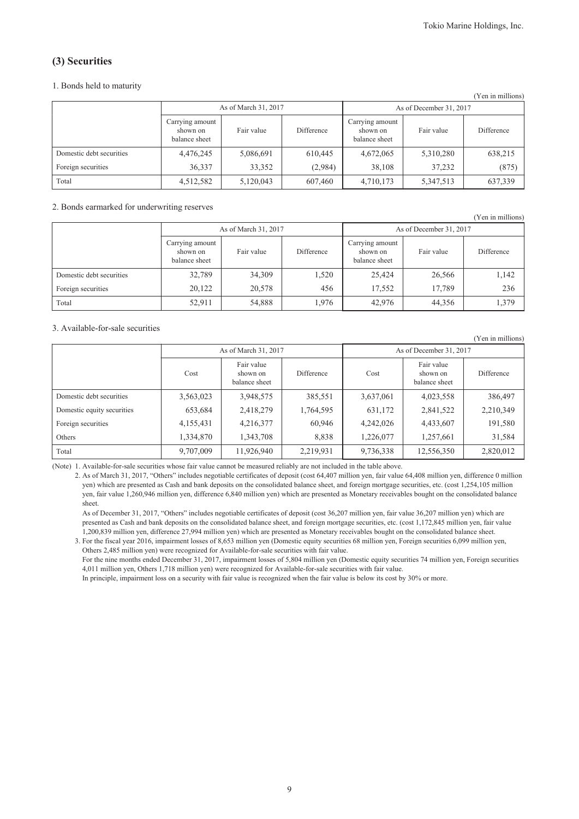(Yen in millions)

## **(3) Securities**

### 1. Bonds held to maturity

| 1 CH III IIIIIIIIUIIS J  |                                              |                      |            |                                              |            |            |  |  |
|--------------------------|----------------------------------------------|----------------------|------------|----------------------------------------------|------------|------------|--|--|
|                          |                                              | As of March 31, 2017 |            | As of December 31, 2017                      |            |            |  |  |
|                          | Carrying amount<br>shown on<br>balance sheet | Fair value           | Difference | Carrying amount<br>shown on<br>balance sheet | Fair value | Difference |  |  |
| Domestic debt securities | 4,476,245                                    | 5,086,691            | 610.445    | 4,672,065                                    | 5,310,280  | 638,215    |  |  |
| Foreign securities       | 36,337                                       | 33,352               | (2,984)    | 38,108                                       | 37,232     | (875)      |  |  |
| Total                    | 4,512,582                                    | 5,120,043            | 607,460    | 4,710,173                                    | 5,347,513  | 637,339    |  |  |

#### 2. Bonds earmarked for underwriting reserves

|                          | $\sim$                                       |                      |            |                                              |            | (Yen in millions) |  |
|--------------------------|----------------------------------------------|----------------------|------------|----------------------------------------------|------------|-------------------|--|
|                          |                                              | As of March 31, 2017 |            | As of December 31, 2017                      |            |                   |  |
|                          | Carrying amount<br>shown on<br>balance sheet | Fair value           | Difference | Carrying amount<br>shown on<br>balance sheet | Fair value | Difference        |  |
| Domestic debt securities | 32,789                                       | 34,309               | 1,520      | 25,424                                       | 26,566     | 1,142             |  |
| Foreign securities       | 20,122                                       | 20,578               | 456        | 17,552                                       | 17,789     | 236               |  |
| Total                    | 52,911                                       | 54,888               | 1,976      | 42,976                                       | 44,356     | 1,379             |  |

### 3. Available-for-sale securities

|                            |           |                                         |            |           |                                         | (Yen in millions) |
|----------------------------|-----------|-----------------------------------------|------------|-----------|-----------------------------------------|-------------------|
|                            |           | As of March 31, 2017                    |            |           | As of December 31, 2017                 |                   |
|                            | Cost      | Fair value<br>shown on<br>balance sheet | Difference | Cost      | Fair value<br>shown on<br>balance sheet | <b>Difference</b> |
| Domestic debt securities   | 3,563,023 | 3,948,575                               | 385,551    | 3,637,061 | 4,023,558                               | 386,497           |
| Domestic equity securities | 653,684   | 2,418,279                               | 1,764,595  | 631,172   | 2,841,522                               | 2,210,349         |
| Foreign securities         | 4,155,431 | 4,216,377                               | 60,946     | 4,242,026 | 4,433,607                               | 191,580           |
| Others                     | 1,334,870 | 1,343,708                               | 8,838      | 1,226,077 | 1,257,661                               | 31,584            |
| Total                      | 9,707,009 | 11,926,940                              | 2,219,931  | 9,736,338 | 12,556,350                              | 2,820,012         |

(Note) 1. Available-for-sale securities whose fair value cannot be measured reliably are not included in the table above.

2. As of March 31, 2017, "Others" includes negotiable certificates of deposit (cost 64,407 million yen, fair value 64,408 million yen, difference 0 million yen) which are presented as Cash and bank deposits on the consolidated balance sheet, and foreign mortgage securities, etc. (cost 1,254,105 million yen, fair value 1,260,946 million yen, difference 6,840 million yen) which are presented as Monetary receivables bought on the consolidated balance sheet.

As of December 31, 2017, "Others" includes negotiable certificates of deposit (cost 36,207 million yen, fair value 36,207 million yen) which are presented as Cash and bank deposits on the consolidated balance sheet, and foreign mortgage securities, etc. (cost 1,172,845 million yen, fair value 1,200,839 million yen, difference 27,994 million yen) which are presented as Monetary receivables bought on the consolidated balance sheet.

3. For the fiscal year 2016, impairment losses of 8,653 million yen (Domestic equity securities 68 million yen, Foreign securities 6,099 million yen, Others 2,485 million yen) were recognized for Available-for-sale securities with fair value.

For the nine months ended December 31, 2017, impairment losses of 5,804 million yen (Domestic equity securities 74 million yen, Foreign securities 4,011 million yen, Others 1,718 million yen) were recognized for Available-for-sale securities with fair value.

In principle, impairment loss on a security with fair value is recognized when the fair value is below its cost by 30% or more.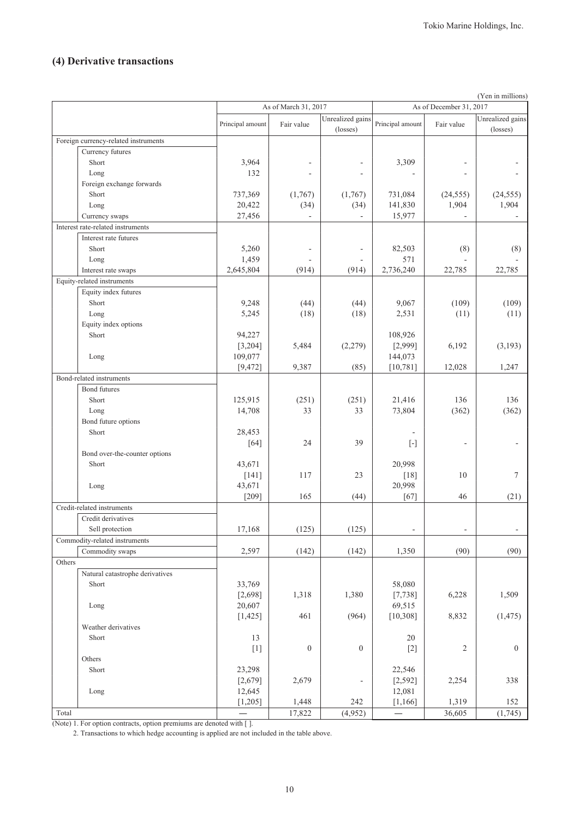# **(4) Derivative transactions**

| As of March 31, 2017<br>As of December 31, 2017<br>Unrealized gains<br>Unrealized gains<br>Principal amount<br>Fair value<br>Principal amount<br>Fair value<br>(losses)<br>(losses)<br>Foreign currency-related instruments<br>Currency futures<br>Short<br>3,964<br>3,309<br>132<br>Long<br>Foreign exchange forwards<br>737,369<br>Short<br>(1,767)<br>(1,767)<br>731,084<br>(24, 555)<br>(24, 555)<br>1,904<br>1,904<br>20,422<br>(34)<br>141,830<br>(34)<br>Long<br>Currency swaps<br>27,456<br>15,977<br>$\sim$<br>Interest rate-related instruments<br>Interest rate futures<br>82,503<br>Short<br>5,260<br>(8)<br>(8)<br>÷,<br>571<br>1,459<br>Long<br>÷.<br>$\overline{\phantom{a}}$<br>2,645,804<br>2,736,240<br>Interest rate swaps<br>(914)<br>(914)<br>22,785<br>22,785<br>Equity-related instruments<br>Equity index futures<br>(109)<br>Short<br>9,248<br>(44)<br>(44)<br>9,067<br>(109)<br>5,245<br>(18)<br>2,531<br>Long<br>(18)<br>(11)<br>(11)<br>Equity index options<br>Short<br>94,227<br>108,926<br>(2,279)<br>6,192<br>[3,204]<br>5,484<br>[2,999]<br>(3,193)<br>109,077<br>144,073<br>Long<br>(85)<br>[9, 472]<br>9,387<br>[10, 781]<br>12,028<br>1,247<br>Bond-related instruments<br>Bond futures<br>Short<br>125,915<br>(251)<br>(251)<br>21,416<br>136<br>136<br>14,708<br>33<br>33<br>73,804<br>(362)<br>(362)<br>Long<br>Bond future options<br>Short<br>28,453<br>39<br>24<br>$[64]$<br>$[\cdot] % \centering \includegraphics[width=0.9\textwidth]{images/TrDiS/N-Architecture.png} % \caption{The first two different values of $N$ in the \mbox{thick model} and the second two different values of $N$ in the \mbox{thick model} and the second two different values of $N$ in the \mbox{thick model} and the second two different values of $N$ in the \mbox{thick model} and the second two different values of $N$ in the \mbox{thick model} and the second two different values of $N$ in the \mbox{thick model} and the third two different values of $N$ in the \mbox{thick model} and the third two different values of $N$ in the \mbox{thick model} and the third two different values of $N$ in the \mbox{thick model} and the third two different values$<br>Bond over-the-counter options<br>Short<br>20,998<br>43,671<br>23<br>10<br>7<br>$[141]$<br>117<br>$[18]$<br>43,671<br>20,998<br>Long<br>$[209]$<br>165<br>$[67]$<br>46<br>(44)<br>(21)<br>Credit-related instruments<br>Credit derivatives<br>(125)<br>(125)<br>17,168<br>Sell protection<br>Commodity-related instruments<br>(90)<br>Commodity swaps<br>2,597<br>(142)<br>1,350<br>(90)<br>(142)<br>Others<br>Natural catastrophe derivatives<br>33,769<br>58,080<br>Short<br>6,228<br>1,509<br>[2,698]<br>1,318<br>1,380<br>[7, 738]<br>69,515<br>20,607<br>Long<br>461<br>(964)<br>8,832<br>(1, 475)<br>[1, 425]<br>[10, 308]<br>Weather derivatives<br>13<br>20<br>Short<br>$\boldsymbol{0}$<br>$[1]$<br>$\boldsymbol{0}$<br>$[2]$<br>$\overline{c}$<br>$\boldsymbol{0}$<br>Others<br>Short<br>23,298<br>22,546<br>[2,679]<br>2,679<br>[2, 592]<br>2,254<br>338<br>$\overline{a}$<br>12,081<br>12,645<br>Long<br>242<br>1,319<br>152<br>[1,205]<br>1,448<br>[1, 166] |       |                   |        |         |        | (Yen in millions) |
|------------------------------------------------------------------------------------------------------------------------------------------------------------------------------------------------------------------------------------------------------------------------------------------------------------------------------------------------------------------------------------------------------------------------------------------------------------------------------------------------------------------------------------------------------------------------------------------------------------------------------------------------------------------------------------------------------------------------------------------------------------------------------------------------------------------------------------------------------------------------------------------------------------------------------------------------------------------------------------------------------------------------------------------------------------------------------------------------------------------------------------------------------------------------------------------------------------------------------------------------------------------------------------------------------------------------------------------------------------------------------------------------------------------------------------------------------------------------------------------------------------------------------------------------------------------------------------------------------------------------------------------------------------------------------------------------------------------------------------------------------------------------------------------------------------------------------------------------------------------------------------------------------------------------------------------------------------------------------------------------------------------------------------------------------------------------------------------------------------------------------------------------------------------------------------------------------------------------------------------------------------------------------------------------------------------------------------------------------------------------------------------------------------------------------------------------------------------------------------------------------------------------------------------------------------------------------------------------------------------------------------------------------------------------------------------------------------------------------------------------------------------------------------------------------------------------------------------------------------------------------------------------------------------------------------------------------------------------------------------------------------------------------------------------------------------------------------------------------------------------------------------------------------------------------------|-------|-------------------|--------|---------|--------|-------------------|
|                                                                                                                                                                                                                                                                                                                                                                                                                                                                                                                                                                                                                                                                                                                                                                                                                                                                                                                                                                                                                                                                                                                                                                                                                                                                                                                                                                                                                                                                                                                                                                                                                                                                                                                                                                                                                                                                                                                                                                                                                                                                                                                                                                                                                                                                                                                                                                                                                                                                                                                                                                                                                                                                                                                                                                                                                                                                                                                                                                                                                                                                                                                                                                                    |       |                   |        |         |        |                   |
|                                                                                                                                                                                                                                                                                                                                                                                                                                                                                                                                                                                                                                                                                                                                                                                                                                                                                                                                                                                                                                                                                                                                                                                                                                                                                                                                                                                                                                                                                                                                                                                                                                                                                                                                                                                                                                                                                                                                                                                                                                                                                                                                                                                                                                                                                                                                                                                                                                                                                                                                                                                                                                                                                                                                                                                                                                                                                                                                                                                                                                                                                                                                                                                    |       |                   |        |         |        |                   |
|                                                                                                                                                                                                                                                                                                                                                                                                                                                                                                                                                                                                                                                                                                                                                                                                                                                                                                                                                                                                                                                                                                                                                                                                                                                                                                                                                                                                                                                                                                                                                                                                                                                                                                                                                                                                                                                                                                                                                                                                                                                                                                                                                                                                                                                                                                                                                                                                                                                                                                                                                                                                                                                                                                                                                                                                                                                                                                                                                                                                                                                                                                                                                                                    |       |                   |        |         |        |                   |
|                                                                                                                                                                                                                                                                                                                                                                                                                                                                                                                                                                                                                                                                                                                                                                                                                                                                                                                                                                                                                                                                                                                                                                                                                                                                                                                                                                                                                                                                                                                                                                                                                                                                                                                                                                                                                                                                                                                                                                                                                                                                                                                                                                                                                                                                                                                                                                                                                                                                                                                                                                                                                                                                                                                                                                                                                                                                                                                                                                                                                                                                                                                                                                                    |       |                   |        |         |        |                   |
|                                                                                                                                                                                                                                                                                                                                                                                                                                                                                                                                                                                                                                                                                                                                                                                                                                                                                                                                                                                                                                                                                                                                                                                                                                                                                                                                                                                                                                                                                                                                                                                                                                                                                                                                                                                                                                                                                                                                                                                                                                                                                                                                                                                                                                                                                                                                                                                                                                                                                                                                                                                                                                                                                                                                                                                                                                                                                                                                                                                                                                                                                                                                                                                    |       |                   |        |         |        |                   |
|                                                                                                                                                                                                                                                                                                                                                                                                                                                                                                                                                                                                                                                                                                                                                                                                                                                                                                                                                                                                                                                                                                                                                                                                                                                                                                                                                                                                                                                                                                                                                                                                                                                                                                                                                                                                                                                                                                                                                                                                                                                                                                                                                                                                                                                                                                                                                                                                                                                                                                                                                                                                                                                                                                                                                                                                                                                                                                                                                                                                                                                                                                                                                                                    |       |                   |        |         |        |                   |
|                                                                                                                                                                                                                                                                                                                                                                                                                                                                                                                                                                                                                                                                                                                                                                                                                                                                                                                                                                                                                                                                                                                                                                                                                                                                                                                                                                                                                                                                                                                                                                                                                                                                                                                                                                                                                                                                                                                                                                                                                                                                                                                                                                                                                                                                                                                                                                                                                                                                                                                                                                                                                                                                                                                                                                                                                                                                                                                                                                                                                                                                                                                                                                                    |       |                   |        |         |        |                   |
|                                                                                                                                                                                                                                                                                                                                                                                                                                                                                                                                                                                                                                                                                                                                                                                                                                                                                                                                                                                                                                                                                                                                                                                                                                                                                                                                                                                                                                                                                                                                                                                                                                                                                                                                                                                                                                                                                                                                                                                                                                                                                                                                                                                                                                                                                                                                                                                                                                                                                                                                                                                                                                                                                                                                                                                                                                                                                                                                                                                                                                                                                                                                                                                    |       |                   |        |         |        |                   |
|                                                                                                                                                                                                                                                                                                                                                                                                                                                                                                                                                                                                                                                                                                                                                                                                                                                                                                                                                                                                                                                                                                                                                                                                                                                                                                                                                                                                                                                                                                                                                                                                                                                                                                                                                                                                                                                                                                                                                                                                                                                                                                                                                                                                                                                                                                                                                                                                                                                                                                                                                                                                                                                                                                                                                                                                                                                                                                                                                                                                                                                                                                                                                                                    |       |                   |        |         |        |                   |
|                                                                                                                                                                                                                                                                                                                                                                                                                                                                                                                                                                                                                                                                                                                                                                                                                                                                                                                                                                                                                                                                                                                                                                                                                                                                                                                                                                                                                                                                                                                                                                                                                                                                                                                                                                                                                                                                                                                                                                                                                                                                                                                                                                                                                                                                                                                                                                                                                                                                                                                                                                                                                                                                                                                                                                                                                                                                                                                                                                                                                                                                                                                                                                                    |       |                   |        |         |        |                   |
|                                                                                                                                                                                                                                                                                                                                                                                                                                                                                                                                                                                                                                                                                                                                                                                                                                                                                                                                                                                                                                                                                                                                                                                                                                                                                                                                                                                                                                                                                                                                                                                                                                                                                                                                                                                                                                                                                                                                                                                                                                                                                                                                                                                                                                                                                                                                                                                                                                                                                                                                                                                                                                                                                                                                                                                                                                                                                                                                                                                                                                                                                                                                                                                    |       |                   |        |         |        |                   |
|                                                                                                                                                                                                                                                                                                                                                                                                                                                                                                                                                                                                                                                                                                                                                                                                                                                                                                                                                                                                                                                                                                                                                                                                                                                                                                                                                                                                                                                                                                                                                                                                                                                                                                                                                                                                                                                                                                                                                                                                                                                                                                                                                                                                                                                                                                                                                                                                                                                                                                                                                                                                                                                                                                                                                                                                                                                                                                                                                                                                                                                                                                                                                                                    |       |                   |        |         |        |                   |
|                                                                                                                                                                                                                                                                                                                                                                                                                                                                                                                                                                                                                                                                                                                                                                                                                                                                                                                                                                                                                                                                                                                                                                                                                                                                                                                                                                                                                                                                                                                                                                                                                                                                                                                                                                                                                                                                                                                                                                                                                                                                                                                                                                                                                                                                                                                                                                                                                                                                                                                                                                                                                                                                                                                                                                                                                                                                                                                                                                                                                                                                                                                                                                                    |       |                   |        |         |        |                   |
|                                                                                                                                                                                                                                                                                                                                                                                                                                                                                                                                                                                                                                                                                                                                                                                                                                                                                                                                                                                                                                                                                                                                                                                                                                                                                                                                                                                                                                                                                                                                                                                                                                                                                                                                                                                                                                                                                                                                                                                                                                                                                                                                                                                                                                                                                                                                                                                                                                                                                                                                                                                                                                                                                                                                                                                                                                                                                                                                                                                                                                                                                                                                                                                    |       |                   |        |         |        |                   |
|                                                                                                                                                                                                                                                                                                                                                                                                                                                                                                                                                                                                                                                                                                                                                                                                                                                                                                                                                                                                                                                                                                                                                                                                                                                                                                                                                                                                                                                                                                                                                                                                                                                                                                                                                                                                                                                                                                                                                                                                                                                                                                                                                                                                                                                                                                                                                                                                                                                                                                                                                                                                                                                                                                                                                                                                                                                                                                                                                                                                                                                                                                                                                                                    |       |                   |        |         |        |                   |
|                                                                                                                                                                                                                                                                                                                                                                                                                                                                                                                                                                                                                                                                                                                                                                                                                                                                                                                                                                                                                                                                                                                                                                                                                                                                                                                                                                                                                                                                                                                                                                                                                                                                                                                                                                                                                                                                                                                                                                                                                                                                                                                                                                                                                                                                                                                                                                                                                                                                                                                                                                                                                                                                                                                                                                                                                                                                                                                                                                                                                                                                                                                                                                                    |       |                   |        |         |        |                   |
|                                                                                                                                                                                                                                                                                                                                                                                                                                                                                                                                                                                                                                                                                                                                                                                                                                                                                                                                                                                                                                                                                                                                                                                                                                                                                                                                                                                                                                                                                                                                                                                                                                                                                                                                                                                                                                                                                                                                                                                                                                                                                                                                                                                                                                                                                                                                                                                                                                                                                                                                                                                                                                                                                                                                                                                                                                                                                                                                                                                                                                                                                                                                                                                    |       |                   |        |         |        |                   |
|                                                                                                                                                                                                                                                                                                                                                                                                                                                                                                                                                                                                                                                                                                                                                                                                                                                                                                                                                                                                                                                                                                                                                                                                                                                                                                                                                                                                                                                                                                                                                                                                                                                                                                                                                                                                                                                                                                                                                                                                                                                                                                                                                                                                                                                                                                                                                                                                                                                                                                                                                                                                                                                                                                                                                                                                                                                                                                                                                                                                                                                                                                                                                                                    |       |                   |        |         |        |                   |
|                                                                                                                                                                                                                                                                                                                                                                                                                                                                                                                                                                                                                                                                                                                                                                                                                                                                                                                                                                                                                                                                                                                                                                                                                                                                                                                                                                                                                                                                                                                                                                                                                                                                                                                                                                                                                                                                                                                                                                                                                                                                                                                                                                                                                                                                                                                                                                                                                                                                                                                                                                                                                                                                                                                                                                                                                                                                                                                                                                                                                                                                                                                                                                                    |       |                   |        |         |        |                   |
|                                                                                                                                                                                                                                                                                                                                                                                                                                                                                                                                                                                                                                                                                                                                                                                                                                                                                                                                                                                                                                                                                                                                                                                                                                                                                                                                                                                                                                                                                                                                                                                                                                                                                                                                                                                                                                                                                                                                                                                                                                                                                                                                                                                                                                                                                                                                                                                                                                                                                                                                                                                                                                                                                                                                                                                                                                                                                                                                                                                                                                                                                                                                                                                    |       |                   |        |         |        |                   |
|                                                                                                                                                                                                                                                                                                                                                                                                                                                                                                                                                                                                                                                                                                                                                                                                                                                                                                                                                                                                                                                                                                                                                                                                                                                                                                                                                                                                                                                                                                                                                                                                                                                                                                                                                                                                                                                                                                                                                                                                                                                                                                                                                                                                                                                                                                                                                                                                                                                                                                                                                                                                                                                                                                                                                                                                                                                                                                                                                                                                                                                                                                                                                                                    |       |                   |        |         |        |                   |
|                                                                                                                                                                                                                                                                                                                                                                                                                                                                                                                                                                                                                                                                                                                                                                                                                                                                                                                                                                                                                                                                                                                                                                                                                                                                                                                                                                                                                                                                                                                                                                                                                                                                                                                                                                                                                                                                                                                                                                                                                                                                                                                                                                                                                                                                                                                                                                                                                                                                                                                                                                                                                                                                                                                                                                                                                                                                                                                                                                                                                                                                                                                                                                                    |       |                   |        |         |        |                   |
|                                                                                                                                                                                                                                                                                                                                                                                                                                                                                                                                                                                                                                                                                                                                                                                                                                                                                                                                                                                                                                                                                                                                                                                                                                                                                                                                                                                                                                                                                                                                                                                                                                                                                                                                                                                                                                                                                                                                                                                                                                                                                                                                                                                                                                                                                                                                                                                                                                                                                                                                                                                                                                                                                                                                                                                                                                                                                                                                                                                                                                                                                                                                                                                    |       |                   |        |         |        |                   |
|                                                                                                                                                                                                                                                                                                                                                                                                                                                                                                                                                                                                                                                                                                                                                                                                                                                                                                                                                                                                                                                                                                                                                                                                                                                                                                                                                                                                                                                                                                                                                                                                                                                                                                                                                                                                                                                                                                                                                                                                                                                                                                                                                                                                                                                                                                                                                                                                                                                                                                                                                                                                                                                                                                                                                                                                                                                                                                                                                                                                                                                                                                                                                                                    |       |                   |        |         |        |                   |
|                                                                                                                                                                                                                                                                                                                                                                                                                                                                                                                                                                                                                                                                                                                                                                                                                                                                                                                                                                                                                                                                                                                                                                                                                                                                                                                                                                                                                                                                                                                                                                                                                                                                                                                                                                                                                                                                                                                                                                                                                                                                                                                                                                                                                                                                                                                                                                                                                                                                                                                                                                                                                                                                                                                                                                                                                                                                                                                                                                                                                                                                                                                                                                                    |       |                   |        |         |        |                   |
|                                                                                                                                                                                                                                                                                                                                                                                                                                                                                                                                                                                                                                                                                                                                                                                                                                                                                                                                                                                                                                                                                                                                                                                                                                                                                                                                                                                                                                                                                                                                                                                                                                                                                                                                                                                                                                                                                                                                                                                                                                                                                                                                                                                                                                                                                                                                                                                                                                                                                                                                                                                                                                                                                                                                                                                                                                                                                                                                                                                                                                                                                                                                                                                    |       |                   |        |         |        |                   |
|                                                                                                                                                                                                                                                                                                                                                                                                                                                                                                                                                                                                                                                                                                                                                                                                                                                                                                                                                                                                                                                                                                                                                                                                                                                                                                                                                                                                                                                                                                                                                                                                                                                                                                                                                                                                                                                                                                                                                                                                                                                                                                                                                                                                                                                                                                                                                                                                                                                                                                                                                                                                                                                                                                                                                                                                                                                                                                                                                                                                                                                                                                                                                                                    |       |                   |        |         |        |                   |
|                                                                                                                                                                                                                                                                                                                                                                                                                                                                                                                                                                                                                                                                                                                                                                                                                                                                                                                                                                                                                                                                                                                                                                                                                                                                                                                                                                                                                                                                                                                                                                                                                                                                                                                                                                                                                                                                                                                                                                                                                                                                                                                                                                                                                                                                                                                                                                                                                                                                                                                                                                                                                                                                                                                                                                                                                                                                                                                                                                                                                                                                                                                                                                                    |       |                   |        |         |        |                   |
|                                                                                                                                                                                                                                                                                                                                                                                                                                                                                                                                                                                                                                                                                                                                                                                                                                                                                                                                                                                                                                                                                                                                                                                                                                                                                                                                                                                                                                                                                                                                                                                                                                                                                                                                                                                                                                                                                                                                                                                                                                                                                                                                                                                                                                                                                                                                                                                                                                                                                                                                                                                                                                                                                                                                                                                                                                                                                                                                                                                                                                                                                                                                                                                    |       |                   |        |         |        |                   |
|                                                                                                                                                                                                                                                                                                                                                                                                                                                                                                                                                                                                                                                                                                                                                                                                                                                                                                                                                                                                                                                                                                                                                                                                                                                                                                                                                                                                                                                                                                                                                                                                                                                                                                                                                                                                                                                                                                                                                                                                                                                                                                                                                                                                                                                                                                                                                                                                                                                                                                                                                                                                                                                                                                                                                                                                                                                                                                                                                                                                                                                                                                                                                                                    |       |                   |        |         |        |                   |
|                                                                                                                                                                                                                                                                                                                                                                                                                                                                                                                                                                                                                                                                                                                                                                                                                                                                                                                                                                                                                                                                                                                                                                                                                                                                                                                                                                                                                                                                                                                                                                                                                                                                                                                                                                                                                                                                                                                                                                                                                                                                                                                                                                                                                                                                                                                                                                                                                                                                                                                                                                                                                                                                                                                                                                                                                                                                                                                                                                                                                                                                                                                                                                                    |       |                   |        |         |        |                   |
|                                                                                                                                                                                                                                                                                                                                                                                                                                                                                                                                                                                                                                                                                                                                                                                                                                                                                                                                                                                                                                                                                                                                                                                                                                                                                                                                                                                                                                                                                                                                                                                                                                                                                                                                                                                                                                                                                                                                                                                                                                                                                                                                                                                                                                                                                                                                                                                                                                                                                                                                                                                                                                                                                                                                                                                                                                                                                                                                                                                                                                                                                                                                                                                    |       |                   |        |         |        |                   |
|                                                                                                                                                                                                                                                                                                                                                                                                                                                                                                                                                                                                                                                                                                                                                                                                                                                                                                                                                                                                                                                                                                                                                                                                                                                                                                                                                                                                                                                                                                                                                                                                                                                                                                                                                                                                                                                                                                                                                                                                                                                                                                                                                                                                                                                                                                                                                                                                                                                                                                                                                                                                                                                                                                                                                                                                                                                                                                                                                                                                                                                                                                                                                                                    |       |                   |        |         |        |                   |
|                                                                                                                                                                                                                                                                                                                                                                                                                                                                                                                                                                                                                                                                                                                                                                                                                                                                                                                                                                                                                                                                                                                                                                                                                                                                                                                                                                                                                                                                                                                                                                                                                                                                                                                                                                                                                                                                                                                                                                                                                                                                                                                                                                                                                                                                                                                                                                                                                                                                                                                                                                                                                                                                                                                                                                                                                                                                                                                                                                                                                                                                                                                                                                                    |       |                   |        |         |        |                   |
|                                                                                                                                                                                                                                                                                                                                                                                                                                                                                                                                                                                                                                                                                                                                                                                                                                                                                                                                                                                                                                                                                                                                                                                                                                                                                                                                                                                                                                                                                                                                                                                                                                                                                                                                                                                                                                                                                                                                                                                                                                                                                                                                                                                                                                                                                                                                                                                                                                                                                                                                                                                                                                                                                                                                                                                                                                                                                                                                                                                                                                                                                                                                                                                    |       |                   |        |         |        |                   |
|                                                                                                                                                                                                                                                                                                                                                                                                                                                                                                                                                                                                                                                                                                                                                                                                                                                                                                                                                                                                                                                                                                                                                                                                                                                                                                                                                                                                                                                                                                                                                                                                                                                                                                                                                                                                                                                                                                                                                                                                                                                                                                                                                                                                                                                                                                                                                                                                                                                                                                                                                                                                                                                                                                                                                                                                                                                                                                                                                                                                                                                                                                                                                                                    |       |                   |        |         |        |                   |
|                                                                                                                                                                                                                                                                                                                                                                                                                                                                                                                                                                                                                                                                                                                                                                                                                                                                                                                                                                                                                                                                                                                                                                                                                                                                                                                                                                                                                                                                                                                                                                                                                                                                                                                                                                                                                                                                                                                                                                                                                                                                                                                                                                                                                                                                                                                                                                                                                                                                                                                                                                                                                                                                                                                                                                                                                                                                                                                                                                                                                                                                                                                                                                                    |       |                   |        |         |        |                   |
|                                                                                                                                                                                                                                                                                                                                                                                                                                                                                                                                                                                                                                                                                                                                                                                                                                                                                                                                                                                                                                                                                                                                                                                                                                                                                                                                                                                                                                                                                                                                                                                                                                                                                                                                                                                                                                                                                                                                                                                                                                                                                                                                                                                                                                                                                                                                                                                                                                                                                                                                                                                                                                                                                                                                                                                                                                                                                                                                                                                                                                                                                                                                                                                    |       |                   |        |         |        |                   |
|                                                                                                                                                                                                                                                                                                                                                                                                                                                                                                                                                                                                                                                                                                                                                                                                                                                                                                                                                                                                                                                                                                                                                                                                                                                                                                                                                                                                                                                                                                                                                                                                                                                                                                                                                                                                                                                                                                                                                                                                                                                                                                                                                                                                                                                                                                                                                                                                                                                                                                                                                                                                                                                                                                                                                                                                                                                                                                                                                                                                                                                                                                                                                                                    |       |                   |        |         |        |                   |
|                                                                                                                                                                                                                                                                                                                                                                                                                                                                                                                                                                                                                                                                                                                                                                                                                                                                                                                                                                                                                                                                                                                                                                                                                                                                                                                                                                                                                                                                                                                                                                                                                                                                                                                                                                                                                                                                                                                                                                                                                                                                                                                                                                                                                                                                                                                                                                                                                                                                                                                                                                                                                                                                                                                                                                                                                                                                                                                                                                                                                                                                                                                                                                                    |       |                   |        |         |        |                   |
|                                                                                                                                                                                                                                                                                                                                                                                                                                                                                                                                                                                                                                                                                                                                                                                                                                                                                                                                                                                                                                                                                                                                                                                                                                                                                                                                                                                                                                                                                                                                                                                                                                                                                                                                                                                                                                                                                                                                                                                                                                                                                                                                                                                                                                                                                                                                                                                                                                                                                                                                                                                                                                                                                                                                                                                                                                                                                                                                                                                                                                                                                                                                                                                    |       |                   |        |         |        |                   |
|                                                                                                                                                                                                                                                                                                                                                                                                                                                                                                                                                                                                                                                                                                                                                                                                                                                                                                                                                                                                                                                                                                                                                                                                                                                                                                                                                                                                                                                                                                                                                                                                                                                                                                                                                                                                                                                                                                                                                                                                                                                                                                                                                                                                                                                                                                                                                                                                                                                                                                                                                                                                                                                                                                                                                                                                                                                                                                                                                                                                                                                                                                                                                                                    |       |                   |        |         |        |                   |
|                                                                                                                                                                                                                                                                                                                                                                                                                                                                                                                                                                                                                                                                                                                                                                                                                                                                                                                                                                                                                                                                                                                                                                                                                                                                                                                                                                                                                                                                                                                                                                                                                                                                                                                                                                                                                                                                                                                                                                                                                                                                                                                                                                                                                                                                                                                                                                                                                                                                                                                                                                                                                                                                                                                                                                                                                                                                                                                                                                                                                                                                                                                                                                                    |       |                   |        |         |        |                   |
|                                                                                                                                                                                                                                                                                                                                                                                                                                                                                                                                                                                                                                                                                                                                                                                                                                                                                                                                                                                                                                                                                                                                                                                                                                                                                                                                                                                                                                                                                                                                                                                                                                                                                                                                                                                                                                                                                                                                                                                                                                                                                                                                                                                                                                                                                                                                                                                                                                                                                                                                                                                                                                                                                                                                                                                                                                                                                                                                                                                                                                                                                                                                                                                    |       |                   |        |         |        |                   |
|                                                                                                                                                                                                                                                                                                                                                                                                                                                                                                                                                                                                                                                                                                                                                                                                                                                                                                                                                                                                                                                                                                                                                                                                                                                                                                                                                                                                                                                                                                                                                                                                                                                                                                                                                                                                                                                                                                                                                                                                                                                                                                                                                                                                                                                                                                                                                                                                                                                                                                                                                                                                                                                                                                                                                                                                                                                                                                                                                                                                                                                                                                                                                                                    |       |                   |        |         |        |                   |
|                                                                                                                                                                                                                                                                                                                                                                                                                                                                                                                                                                                                                                                                                                                                                                                                                                                                                                                                                                                                                                                                                                                                                                                                                                                                                                                                                                                                                                                                                                                                                                                                                                                                                                                                                                                                                                                                                                                                                                                                                                                                                                                                                                                                                                                                                                                                                                                                                                                                                                                                                                                                                                                                                                                                                                                                                                                                                                                                                                                                                                                                                                                                                                                    |       |                   |        |         |        |                   |
|                                                                                                                                                                                                                                                                                                                                                                                                                                                                                                                                                                                                                                                                                                                                                                                                                                                                                                                                                                                                                                                                                                                                                                                                                                                                                                                                                                                                                                                                                                                                                                                                                                                                                                                                                                                                                                                                                                                                                                                                                                                                                                                                                                                                                                                                                                                                                                                                                                                                                                                                                                                                                                                                                                                                                                                                                                                                                                                                                                                                                                                                                                                                                                                    |       |                   |        |         |        |                   |
|                                                                                                                                                                                                                                                                                                                                                                                                                                                                                                                                                                                                                                                                                                                                                                                                                                                                                                                                                                                                                                                                                                                                                                                                                                                                                                                                                                                                                                                                                                                                                                                                                                                                                                                                                                                                                                                                                                                                                                                                                                                                                                                                                                                                                                                                                                                                                                                                                                                                                                                                                                                                                                                                                                                                                                                                                                                                                                                                                                                                                                                                                                                                                                                    |       |                   |        |         |        |                   |
|                                                                                                                                                                                                                                                                                                                                                                                                                                                                                                                                                                                                                                                                                                                                                                                                                                                                                                                                                                                                                                                                                                                                                                                                                                                                                                                                                                                                                                                                                                                                                                                                                                                                                                                                                                                                                                                                                                                                                                                                                                                                                                                                                                                                                                                                                                                                                                                                                                                                                                                                                                                                                                                                                                                                                                                                                                                                                                                                                                                                                                                                                                                                                                                    |       |                   |        |         |        |                   |
|                                                                                                                                                                                                                                                                                                                                                                                                                                                                                                                                                                                                                                                                                                                                                                                                                                                                                                                                                                                                                                                                                                                                                                                                                                                                                                                                                                                                                                                                                                                                                                                                                                                                                                                                                                                                                                                                                                                                                                                                                                                                                                                                                                                                                                                                                                                                                                                                                                                                                                                                                                                                                                                                                                                                                                                                                                                                                                                                                                                                                                                                                                                                                                                    |       |                   |        |         |        |                   |
|                                                                                                                                                                                                                                                                                                                                                                                                                                                                                                                                                                                                                                                                                                                                                                                                                                                                                                                                                                                                                                                                                                                                                                                                                                                                                                                                                                                                                                                                                                                                                                                                                                                                                                                                                                                                                                                                                                                                                                                                                                                                                                                                                                                                                                                                                                                                                                                                                                                                                                                                                                                                                                                                                                                                                                                                                                                                                                                                                                                                                                                                                                                                                                                    |       |                   |        |         |        |                   |
|                                                                                                                                                                                                                                                                                                                                                                                                                                                                                                                                                                                                                                                                                                                                                                                                                                                                                                                                                                                                                                                                                                                                                                                                                                                                                                                                                                                                                                                                                                                                                                                                                                                                                                                                                                                                                                                                                                                                                                                                                                                                                                                                                                                                                                                                                                                                                                                                                                                                                                                                                                                                                                                                                                                                                                                                                                                                                                                                                                                                                                                                                                                                                                                    |       |                   |        |         |        |                   |
|                                                                                                                                                                                                                                                                                                                                                                                                                                                                                                                                                                                                                                                                                                                                                                                                                                                                                                                                                                                                                                                                                                                                                                                                                                                                                                                                                                                                                                                                                                                                                                                                                                                                                                                                                                                                                                                                                                                                                                                                                                                                                                                                                                                                                                                                                                                                                                                                                                                                                                                                                                                                                                                                                                                                                                                                                                                                                                                                                                                                                                                                                                                                                                                    |       |                   |        |         |        |                   |
|                                                                                                                                                                                                                                                                                                                                                                                                                                                                                                                                                                                                                                                                                                                                                                                                                                                                                                                                                                                                                                                                                                                                                                                                                                                                                                                                                                                                                                                                                                                                                                                                                                                                                                                                                                                                                                                                                                                                                                                                                                                                                                                                                                                                                                                                                                                                                                                                                                                                                                                                                                                                                                                                                                                                                                                                                                                                                                                                                                                                                                                                                                                                                                                    |       |                   |        |         |        |                   |
|                                                                                                                                                                                                                                                                                                                                                                                                                                                                                                                                                                                                                                                                                                                                                                                                                                                                                                                                                                                                                                                                                                                                                                                                                                                                                                                                                                                                                                                                                                                                                                                                                                                                                                                                                                                                                                                                                                                                                                                                                                                                                                                                                                                                                                                                                                                                                                                                                                                                                                                                                                                                                                                                                                                                                                                                                                                                                                                                                                                                                                                                                                                                                                                    |       |                   |        |         |        |                   |
|                                                                                                                                                                                                                                                                                                                                                                                                                                                                                                                                                                                                                                                                                                                                                                                                                                                                                                                                                                                                                                                                                                                                                                                                                                                                                                                                                                                                                                                                                                                                                                                                                                                                                                                                                                                                                                                                                                                                                                                                                                                                                                                                                                                                                                                                                                                                                                                                                                                                                                                                                                                                                                                                                                                                                                                                                                                                                                                                                                                                                                                                                                                                                                                    |       |                   |        |         |        |                   |
|                                                                                                                                                                                                                                                                                                                                                                                                                                                                                                                                                                                                                                                                                                                                                                                                                                                                                                                                                                                                                                                                                                                                                                                                                                                                                                                                                                                                                                                                                                                                                                                                                                                                                                                                                                                                                                                                                                                                                                                                                                                                                                                                                                                                                                                                                                                                                                                                                                                                                                                                                                                                                                                                                                                                                                                                                                                                                                                                                                                                                                                                                                                                                                                    |       |                   |        |         |        |                   |
|                                                                                                                                                                                                                                                                                                                                                                                                                                                                                                                                                                                                                                                                                                                                                                                                                                                                                                                                                                                                                                                                                                                                                                                                                                                                                                                                                                                                                                                                                                                                                                                                                                                                                                                                                                                                                                                                                                                                                                                                                                                                                                                                                                                                                                                                                                                                                                                                                                                                                                                                                                                                                                                                                                                                                                                                                                                                                                                                                                                                                                                                                                                                                                                    | Total | $\qquad \qquad -$ | 17,822 | (4,952) | 36,605 | (1,745)           |

(Note) 1. For option contracts, option premiums are denoted with [ ].

2. Transactions to which hedge accounting is applied are not included in the table above.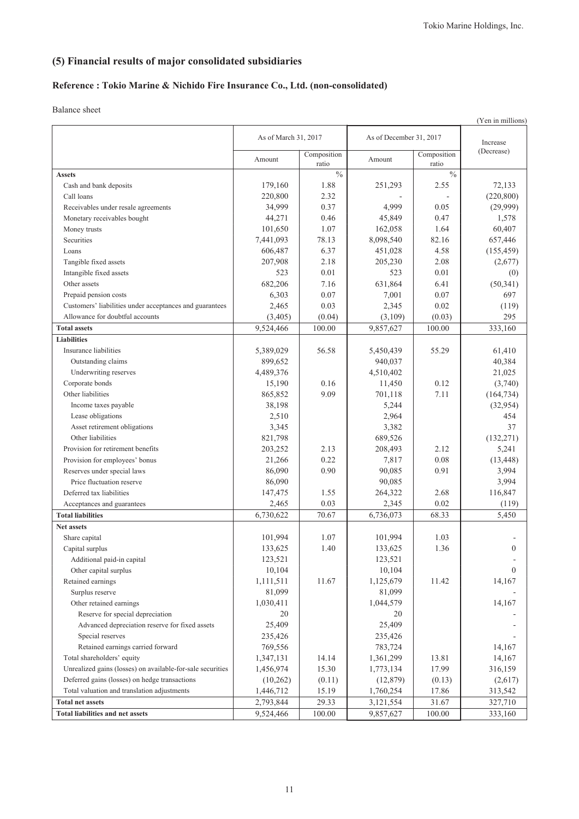# **(5) Financial results of major consolidated subsidiaries**

## **Reference : Tokio Marine & Nichido Fire Insurance Co., Ltd. (non-consolidated)**

Balance sheet

|                                                            |                      |                      |                         |                      | (Yen in millions) |
|------------------------------------------------------------|----------------------|----------------------|-------------------------|----------------------|-------------------|
|                                                            | As of March 31, 2017 |                      | As of December 31, 2017 |                      | Increase          |
|                                                            | Amount               | Composition<br>ratio | Amount                  | Composition<br>ratio | (Decrease)        |
| <b>Assets</b>                                              |                      | $\frac{0}{0}$        |                         | $\frac{0}{0}$        |                   |
| Cash and bank deposits                                     | 179,160              | 1.88                 | 251,293                 | 2.55                 | 72,133            |
| Call loans                                                 | 220,800              | 2.32                 |                         |                      | (220, 800)        |
| Receivables under resale agreements                        | 34,999               | 0.37                 | 4,999                   | 0.05                 | (29,999)          |
| Monetary receivables bought                                | 44,271               | 0.46                 | 45,849                  | 0.47                 | 1,578             |
| Money trusts                                               | 101,650              | 1.07                 | 162,058                 | 1.64                 | 60,407            |
| Securities                                                 | 7,441,093            | 78.13                | 8,098,540               | 82.16                | 657,446           |
| Loans                                                      | 606,487              | 6.37                 | 451,028                 | 4.58                 | (155, 459)        |
| Tangible fixed assets                                      | 207,908              | 2.18                 | 205,230                 | 2.08                 | (2,677)           |
| Intangible fixed assets                                    | 523                  | 0.01                 | 523                     | 0.01                 | (0)               |
| Other assets                                               | 682,206              | 7.16                 | 631,864                 | 6.41                 | (50, 341)         |
| Prepaid pension costs                                      | 6,303                | 0.07                 | 7,001                   | 0.07                 | 697               |
| Customers' liabilities under acceptances and guarantees    | 2,465                | 0.03                 | 2,345                   | 0.02                 | (119)             |
| Allowance for doubtful accounts                            | (3,405)              | (0.04)               | (3,109)                 | (0.03)               | 295               |
| <b>Total assets</b>                                        | 9,524,466            | 100.00               | 9,857,627               | 100.00               | 333,160           |
| <b>Liabilities</b>                                         |                      |                      |                         |                      |                   |
| Insurance liabilities                                      | 5,389,029            | 56.58                | 5,450,439               | 55.29                | 61,410            |
| Outstanding claims                                         | 899,652              |                      | 940,037                 |                      | 40,384            |
| Underwriting reserves                                      | 4,489,376            |                      | 4,510,402               |                      | 21,025            |
| Corporate bonds                                            | 15,190               | 0.16                 | 11,450                  | 0.12                 | (3,740)           |
| Other liabilities                                          | 865,852              | 9.09                 | 701,118                 | 7.11                 | (164, 734)        |
| Income taxes payable                                       | 38,198               |                      | 5,244                   |                      | (32, 954)         |
| Lease obligations                                          | 2,510                |                      | 2,964                   |                      | 454               |
| Asset retirement obligations                               | 3,345                |                      | 3,382                   |                      | 37                |
| Other liabilities                                          | 821,798              |                      | 689,526                 |                      | (132, 271)        |
| Provision for retirement benefits                          | 203,252              | 2.13                 | 208,493                 | 2.12                 | 5,241             |
| Provision for employees' bonus                             | 21,266               | 0.22                 | 7,817                   | 0.08                 | (13, 448)         |
| Reserves under special laws                                | 86,090               | 0.90                 | 90,085                  | 0.91                 | 3,994             |
| Price fluctuation reserve                                  | 86,090               |                      | 90,085                  |                      | 3,994             |
| Deferred tax liabilities                                   | 147,475              | 1.55                 | 264,322                 | 2.68                 | 116,847           |
| Acceptances and guarantees                                 | 2,465                | 0.03                 | 2,345                   | 0.02                 | (119)             |
| <b>Total liabilities</b>                                   | 6,730,622            | 70.67                | 6,736,073               | 68.33                | 5,450             |
| <b>Net assets</b>                                          |                      |                      |                         |                      |                   |
| Share capital                                              | 101,994              | 1.07                 | 101,994                 | 1.03                 |                   |
| Capital surplus                                            | 133,625              | 1.40                 | 133,625                 | 1.36                 | $\theta$          |
| Additional paid-in capital                                 | 123,521              |                      | 123,521                 |                      |                   |
| Other capital surplus                                      | 10,104               |                      | 10,104                  |                      | $\theta$          |
| Retained earnings                                          | 1,111,511            | 11.67                | 1,125,679               | 11.42                | 14,167            |
| Surplus reserve                                            | 81,099               |                      | 81,099                  |                      |                   |
| Other retained earnings                                    | 1,030,411            |                      | 1,044,579               |                      | 14,167            |
| Reserve for special depreciation                           | 20                   |                      | 20                      |                      |                   |
| Advanced depreciation reserve for fixed assets             | 25,409               |                      | 25,409                  |                      |                   |
| Special reserves                                           | 235,426              |                      | 235,426                 |                      |                   |
| Retained earnings carried forward                          | 769,556              |                      | 783,724                 |                      | 14,167            |
| Total shareholders' equity                                 | 1,347,131            | 14.14                | 1,361,299               | 13.81                | 14,167            |
| Unrealized gains (losses) on available-for-sale securities | 1,456,974            | 15.30                | 1,773,134               | 17.99                | 316,159           |
| Deferred gains (losses) on hedge transactions              | (10,262)             | (0.11)               | (12, 879)               | (0.13)               | (2,617)           |
| Total valuation and translation adjustments                | 1,446,712            | 15.19                | 1,760,254               | 17.86                | 313,542           |
| <b>Total net assets</b>                                    | 2,793,844            | 29.33                | 3,121,554               | 31.67                | 327,710           |
| <b>Total liabilities and net assets</b>                    | 9,524,466            | 100.00               | 9,857,627               | 100.00               | 333,160           |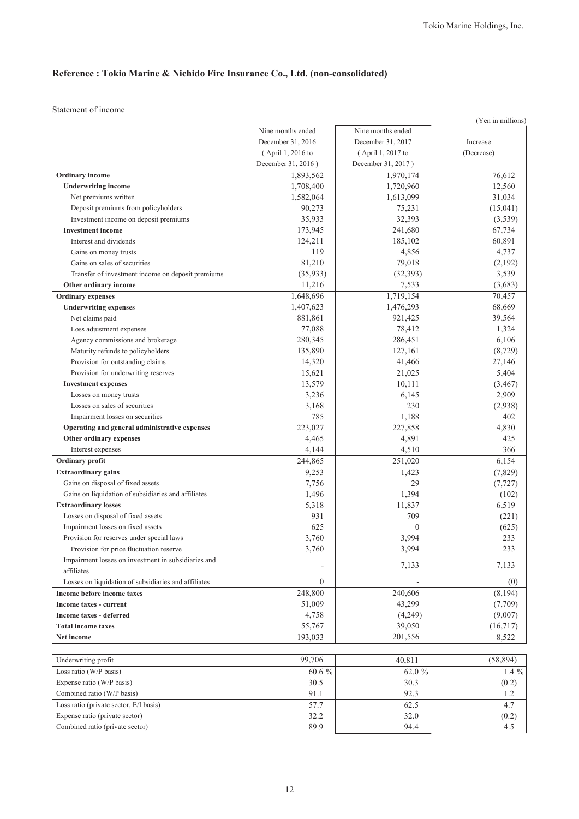Statement of income

|                                                      |                    |                    | (Yen in millions) |
|------------------------------------------------------|--------------------|--------------------|-------------------|
|                                                      | Nine months ended  | Nine months ended  |                   |
|                                                      | December 31, 2016  | December 31, 2017  | Increase          |
|                                                      | (April 1, 2016 to  | (April 1, 2017 to  | (Decrease)        |
|                                                      | December 31, 2016) | December 31, 2017) |                   |
| <b>Ordinary</b> income                               | 1,893,562          | 1,970,174          | 76,612            |
| <b>Underwriting income</b>                           | 1,708,400          | 1,720,960          | 12,560            |
| Net premiums written                                 | 1,582,064          | 1,613,099          | 31,034            |
| Deposit premiums from policyholders                  | 90,273             | 75,231             | (15,041)          |
| Investment income on deposit premiums                | 35,933             | 32,393             | (3,539)           |
| <b>Investment</b> income                             | 173,945            | 241,680            | 67,734            |
| Interest and dividends                               | 124,211            | 185,102            | 60,891            |
| Gains on money trusts                                | 119                | 4,856              | 4,737             |
| Gains on sales of securities                         | 81,210             | 79,018             | (2,192)           |
| Transfer of investment income on deposit premiums    | (35, 933)          | (32, 393)          | 3,539             |
| Other ordinary income                                | 11,216             | 7,533              | (3,683)           |
| <b>Ordinary</b> expenses                             | 1,648,696          | 1,719,154          | 70,457            |
| <b>Underwriting expenses</b>                         | 1,407,623          | 1,476,293          | 68,669            |
| Net claims paid                                      | 881,861            | 921,425            | 39,564            |
| Loss adjustment expenses                             | 77,088             | 78,412             | 1,324             |
| Agency commissions and brokerage                     | 280,345            | 286,451            | 6,106             |
| Maturity refunds to policyholders                    | 135,890            | 127,161            | (8, 729)          |
| Provision for outstanding claims                     | 14,320             | 41,466             | 27,146            |
| Provision for underwriting reserves                  | 15,621             | 21,025             | 5,404             |
| <b>Investment expenses</b>                           | 13,579             | 10,111             | (3, 467)          |
| Losses on money trusts                               | 3,236              | 6,145              | 2,909             |
| Losses on sales of securities                        | 3,168              | 230                | (2,938)           |
| Impairment losses on securities                      | 785                | 1,188              | 402               |
| Operating and general administrative expenses        | 223,027            | 227,858            | 4,830             |
| Other ordinary expenses                              | 4,465              | 4,891              | 425               |
| Interest expenses                                    | 4,144              | 4,510              | 366               |
| Ordinary profit                                      | 244,865            | 251,020            | 6,154             |
| <b>Extraordinary gains</b>                           | 9,253              | 1,423              | (7,829)           |
| Gains on disposal of fixed assets                    | 7,756              | 29                 | (7, 727)          |
| Gains on liquidation of subsidiaries and affiliates  | 1,496              | 1,394              | (102)             |
| <b>Extraordinary losses</b>                          | 5,318              | 11,837             | 6,519             |
| Losses on disposal of fixed assets                   | 931                | 709                | (221)             |
| Impairment losses on fixed assets                    | 625                | $\theta$           | (625)             |
| Provision for reserves under special laws            | 3,760              | 3,994              | 233               |
| Provision for price fluctuation reserve              | 3,760              | 3,994              | 233               |
| Impairment losses on investment in subsidiaries and  |                    |                    |                   |
| affiliates                                           | $\overline{a}$     | 7,133              | 7,133             |
| Losses on liquidation of subsidiaries and affiliates | $\boldsymbol{0}$   |                    | (0)               |
| Income before income taxes                           | 248,800            | 240,606            | (8, 194)          |
| Income taxes - current                               | 51,009             | 43,299             | (7,709)           |
| Income taxes - deferred                              | 4,758              | (4,249)            | (9,007)           |
| <b>Total income taxes</b>                            | 55,767             | 39,050             | (16, 717)         |
| Net income                                           | 193,033            | 201,556            | 8,522             |
|                                                      |                    |                    |                   |
| Underwriting profit                                  | 99.706             | 40,811             | (58, 894)         |
| Loss ratio (W/P basis)                               | $60.6~\%$          | 62.0 %             | 1.4 $%$           |
| Expense ratio (W/P basis)                            | 30.5               | 30.3               | (0.2)             |
| Combined ratio (W/P basis)                           | 91.1               | 92.3               | 1.2               |
| Loss ratio (private sector, E/I basis)               | 57.7               | 62.5               | 4.7               |
| Expense ratio (private sector)                       | 32.2               | 32.0               | (0.2)             |
| Combined ratio (private sector)                      | 89.9               | 94.4               | 4.5               |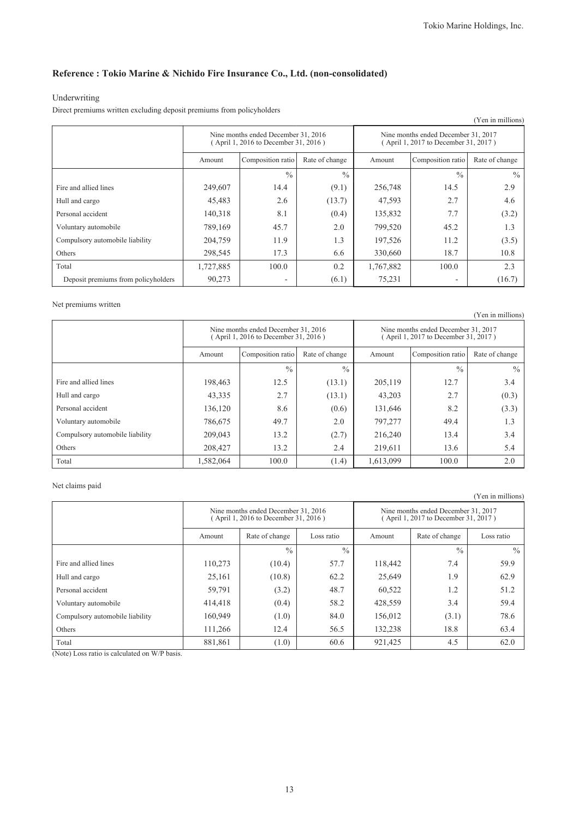### Underwriting

Direct premiums written excluding deposit premiums from policyholders

| (Yen in millions)                   |           |                                                                             |               |                                                                             |                   |                |  |
|-------------------------------------|-----------|-----------------------------------------------------------------------------|---------------|-----------------------------------------------------------------------------|-------------------|----------------|--|
|                                     |           | Nine months ended December 31, 2016<br>(April 1, 2016 to December 31, 2016) |               | Nine months ended December 31, 2017<br>(April 1, 2017 to December 31, 2017) |                   |                |  |
|                                     | Amount    | Composition ratio<br>Rate of change                                         |               |                                                                             | Composition ratio | Rate of change |  |
|                                     |           | $\frac{0}{0}$                                                               | $\frac{0}{0}$ |                                                                             | $\frac{0}{0}$     | $\frac{0}{0}$  |  |
| Fire and allied lines               | 249,607   | 14.4                                                                        | (9.1)         | 256,748                                                                     | 14.5              | 2.9            |  |
| Hull and cargo                      | 45,483    | 2.6                                                                         | (13.7)        | 47,593                                                                      | 2.7               | 4.6            |  |
| Personal accident                   | 140,318   | 8.1                                                                         | (0.4)         | 135,832                                                                     | 7.7               | (3.2)          |  |
| Voluntary automobile                | 789,169   | 45.7                                                                        | 2.0           | 799,520                                                                     | 45.2              | 1.3            |  |
| Compulsory automobile liability     | 204,759   | 11.9                                                                        | 1.3           | 197,526                                                                     | 11.2              | (3.5)          |  |
| Others                              | 298,545   | 17.3                                                                        | 6.6           | 330,660                                                                     | 18.7              | 10.8           |  |
| Total                               | 1,727,885 | 100.0                                                                       | 0.2           | 1,767,882                                                                   | 100.0             | 2.3            |  |
| Deposit premiums from policyholders | 90,273    | $\overline{\phantom{0}}$                                                    | (6.1)         | 75,231                                                                      | ۰                 | (16.7)         |  |

### Net premiums written

| (Yen in millions)               |           |                                                                             |                |                                                                             |                   |                |  |  |
|---------------------------------|-----------|-----------------------------------------------------------------------------|----------------|-----------------------------------------------------------------------------|-------------------|----------------|--|--|
|                                 |           | Nine months ended December 31, 2016<br>(April 1, 2016 to December 31, 2016) |                | Nine months ended December 31, 2017<br>(April 1, 2017 to December 31, 2017) |                   |                |  |  |
|                                 | Amount    | Composition ratio                                                           | Rate of change | Amount                                                                      | Composition ratio | Rate of change |  |  |
|                                 |           | $\frac{0}{0}$                                                               | $\frac{0}{0}$  |                                                                             | $\frac{0}{0}$     | $\frac{0}{0}$  |  |  |
| Fire and allied lines           | 198,463   | 12.5                                                                        | (13.1)         | 205,119                                                                     | 12.7              | 3.4            |  |  |
| Hull and cargo                  | 43,335    | 2.7                                                                         | (13.1)         | 43,203                                                                      | 2.7               | (0.3)          |  |  |
| Personal accident               | 136,120   | 8.6                                                                         | (0.6)          | 131,646                                                                     | 8.2               | (3.3)          |  |  |
| Voluntary automobile            | 786,675   | 49.7                                                                        | 2.0            | 797,277                                                                     | 49.4              | 1.3            |  |  |
| Compulsory automobile liability | 209,043   | 13.2                                                                        | (2.7)          | 216,240                                                                     | 13.4              | 3.4            |  |  |
| Others                          | 208,427   | 13.2                                                                        | 2.4            | 219.611                                                                     | 13.6              | 5.4            |  |  |
| Total                           | 1,582,064 | 100.0                                                                       | (1.4)          | 1,613,099                                                                   | 100.0             | 2.0            |  |  |

### Net claims paid

|                                 |                                                                             |                |               |                                                                             |                | (Yen in millions) |
|---------------------------------|-----------------------------------------------------------------------------|----------------|---------------|-----------------------------------------------------------------------------|----------------|-------------------|
|                                 | Nine months ended December 31, 2016<br>(April 1, 2016 to December 31, 2016) |                |               | Nine months ended December 31, 2017<br>(April 1, 2017 to December 31, 2017) |                |                   |
|                                 | Amount                                                                      | Rate of change | Loss ratio    | Amount                                                                      | Rate of change | Loss ratio        |
|                                 |                                                                             | $\frac{0}{0}$  | $\frac{0}{0}$ |                                                                             | $\frac{0}{0}$  | $\frac{0}{0}$     |
| Fire and allied lines           | 110,273                                                                     | (10.4)         | 57.7          | 118,442                                                                     | 7.4            | 59.9              |
| Hull and cargo                  | 25,161                                                                      | (10.8)         | 62.2          | 25,649                                                                      | 1.9            | 62.9              |
| Personal accident               | 59,791                                                                      | (3.2)          | 48.7          | 60,522                                                                      | 1.2            | 51.2              |
| Voluntary automobile            | 414,418                                                                     | (0.4)          | 58.2          | 428,559                                                                     | 3.4            | 59.4              |
| Compulsory automobile liability | 160,949                                                                     | (1.0)          | 84.0          | 156,012                                                                     | (3.1)          | 78.6              |
| Others                          | 111,266                                                                     | 12.4           | 56.5          | 132,238                                                                     | 18.8           | 63.4              |
| Total                           | 881,861                                                                     | (1.0)          | 60.6          | 921,425                                                                     | 4.5            | 62.0              |

(Note) Loss ratio is calculated on W/P basis.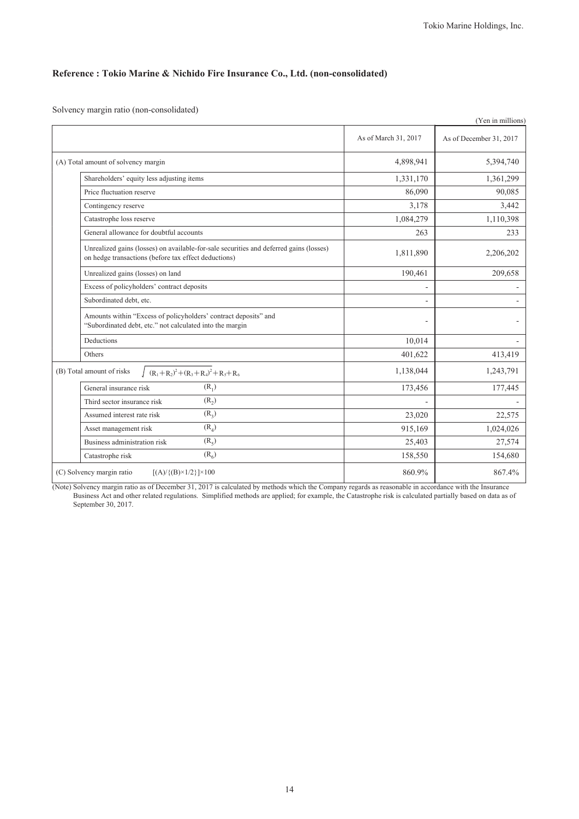Solvency margin ratio (non-consolidated)

|                           |                                                                                                                                                |                      | (Yen in millions)       |
|---------------------------|------------------------------------------------------------------------------------------------------------------------------------------------|----------------------|-------------------------|
|                           |                                                                                                                                                | As of March 31, 2017 | As of December 31, 2017 |
|                           | (A) Total amount of solvency margin                                                                                                            | 4,898,941            | 5,394,740               |
|                           | Shareholders' equity less adjusting items                                                                                                      | 1,331,170            | 1,361,299               |
|                           | Price fluctuation reserve                                                                                                                      | 86,090               | 90,085                  |
|                           | Contingency reserve                                                                                                                            | 3,178                | 3,442                   |
|                           | Catastrophe loss reserve                                                                                                                       | 1,084,279            | 1,110,398               |
|                           | General allowance for doubtful accounts                                                                                                        | 263                  | 233                     |
|                           | Unrealized gains (losses) on available-for-sale securities and deferred gains (losses)<br>on hedge transactions (before tax effect deductions) | 1,811,890            | 2,206,202               |
|                           | Unrealized gains (losses) on land                                                                                                              | 190,461              | 209,658                 |
|                           | Excess of policyholders' contract deposits                                                                                                     | ۰                    |                         |
|                           | Subordinated debt, etc.                                                                                                                        |                      |                         |
|                           | Amounts within "Excess of policyholders' contract deposits" and<br>"Subordinated debt, etc." not calculated into the margin                    |                      |                         |
| Deductions                |                                                                                                                                                | 10,014               |                         |
| Others                    |                                                                                                                                                | 401,622              | 413,419                 |
| (B) Total amount of risks | $(R_1 + R_2)^2 + (R_3 + R_4)^2 + R_5 + R_6$                                                                                                    | 1,138,044            | 1,243,791               |
|                           | $(R_1)$<br>General insurance risk                                                                                                              | 173,456              | 177,445                 |
|                           | $(R_2)$<br>Third sector insurance risk                                                                                                         |                      |                         |
|                           | $(R_2)$<br>Assumed interest rate risk                                                                                                          | 23,020               | 22,575                  |
|                           | $(R_4)$<br>Asset management risk                                                                                                               | 915,169              | 1,024,026               |
|                           | (R <sub>5</sub> )<br>Business administration risk                                                                                              | 25,403               | 27,574                  |
|                           | $(R_6)$<br>Catastrophe risk                                                                                                                    | 158,550              | 154,680                 |
| (C) Solvency margin ratio | $[(A) / {(B)} \times 1/2] \times 100$                                                                                                          | 860.9%               | 867.4%                  |

(Note) Solvency margin ratio as of December 31, 2017 is calculated by methods which the Company regards as reasonable in accordance with the Insurance Business Act and other related regulations. Simplified methods are applied; for example, the Catastrophe risk is calculated partially based on data as of September 30, 2017.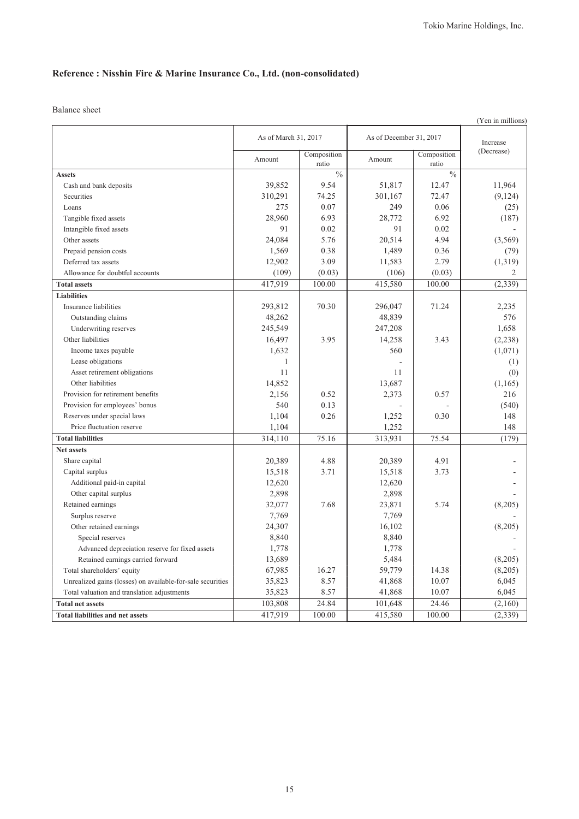Balance sheet

|                                                            |                      |                      |                         |                      | (Yen in millions) |
|------------------------------------------------------------|----------------------|----------------------|-------------------------|----------------------|-------------------|
|                                                            | As of March 31, 2017 |                      | As of December 31, 2017 | Increase             |                   |
|                                                            | Amount               | Composition<br>ratio | Amount                  | Composition<br>ratio | (Decrease)        |
| <b>Assets</b>                                              |                      | $\frac{0}{0}$        |                         | $\frac{0}{0}$        |                   |
| Cash and bank deposits                                     | 39,852               | 9.54                 | 51,817                  | 12.47                | 11,964            |
| Securities                                                 | 310,291              | 74.25                | 301,167                 | 72.47                | (9, 124)          |
| Loans                                                      | 275                  | 0.07                 | 249                     | 0.06                 | (25)              |
| Tangible fixed assets                                      | 28,960               | 6.93                 | 28,772                  | 6.92                 | (187)             |
| Intangible fixed assets                                    | 91                   | 0.02                 | 91                      | 0.02                 |                   |
| Other assets                                               | 24,084               | 5.76                 | 20,514                  | 4.94                 | (3,569)           |
| Prepaid pension costs                                      | 1,569                | 0.38                 | 1,489                   | 0.36                 | (79)              |
| Deferred tax assets                                        | 12,902               | 3.09                 | 11,583                  | 2.79                 | (1,319)           |
| Allowance for doubtful accounts                            | (109)                | (0.03)               | (106)                   | (0.03)               | 2                 |
| <b>Total assets</b>                                        | 417,919              | 100.00               | 415,580                 | 100.00               | (2, 339)          |
| <b>Liabilities</b>                                         |                      |                      |                         |                      |                   |
| Insurance liabilities                                      | 293,812              | 70.30                | 296,047                 | 71.24                | 2,235             |
| Outstanding claims                                         | 48,262               |                      | 48,839                  |                      | 576               |
| Underwriting reserves                                      | 245,549              |                      | 247,208                 |                      | 1,658             |
| Other liabilities                                          | 16,497               | 3.95                 | 14,258                  | 3.43                 | (2, 238)          |
| Income taxes payable                                       | 1,632                |                      | 560                     |                      | (1,071)           |
| Lease obligations                                          | 1                    |                      |                         |                      | (1)               |
| Asset retirement obligations                               | 11                   |                      | 11                      |                      | (0)               |
| Other liabilities                                          | 14,852               |                      | 13,687                  |                      | (1,165)           |
| Provision for retirement benefits                          | 2,156                | 0.52                 | 2,373                   | 0.57                 | 216               |
| Provision for employees' bonus                             | 540                  | 0.13                 |                         |                      | (540)             |
| Reserves under special laws                                | 1,104                | 0.26                 | 1,252                   | 0.30                 | 148               |
| Price fluctuation reserve                                  | 1,104                |                      | 1,252                   |                      | 148               |
| <b>Total liabilities</b>                                   | 314,110              | 75.16                | 313,931                 | 75.54                | (179)             |
| Net assets                                                 |                      |                      |                         |                      |                   |
| Share capital                                              | 20,389               | 4.88                 | 20,389                  | 4.91                 |                   |
| Capital surplus                                            | 15,518               | 3.71                 | 15,518                  | 3.73                 |                   |
| Additional paid-in capital                                 | 12,620               |                      | 12,620                  |                      |                   |
| Other capital surplus                                      | 2,898                |                      | 2,898                   |                      |                   |
| Retained earnings                                          | 32,077               | 7.68                 | 23,871                  | 5.74                 | (8,205)           |
| Surplus reserve                                            | 7,769                |                      | 7,769                   |                      |                   |
| Other retained earnings                                    | 24,307               |                      | 16,102                  |                      | (8,205)           |
| Special reserves                                           | 8,840                |                      | 8,840                   |                      |                   |
| Advanced depreciation reserve for fixed assets             | 1,778                |                      | 1,778                   |                      |                   |
| Retained earnings carried forward                          | 13,689               |                      | 5,484                   |                      | (8,205)           |
| Total shareholders' equity                                 | 67,985               | 16.27                | 59,779                  | 14.38                | (8,205)           |
| Unrealized gains (losses) on available-for-sale securities | 35,823               | 8.57                 | 41,868                  | 10.07                | 6,045             |
| Total valuation and translation adjustments                | 35,823               | 8.57                 | 41,868                  | 10.07                | 6,045             |
| <b>Total net assets</b>                                    | 103,808              | 24.84                | 101,648                 | 24.46                | (2,160)           |
| <b>Total liabilities and net assets</b>                    | 417,919              | 100.00               | 415,580                 | 100.00               | (2, 339)          |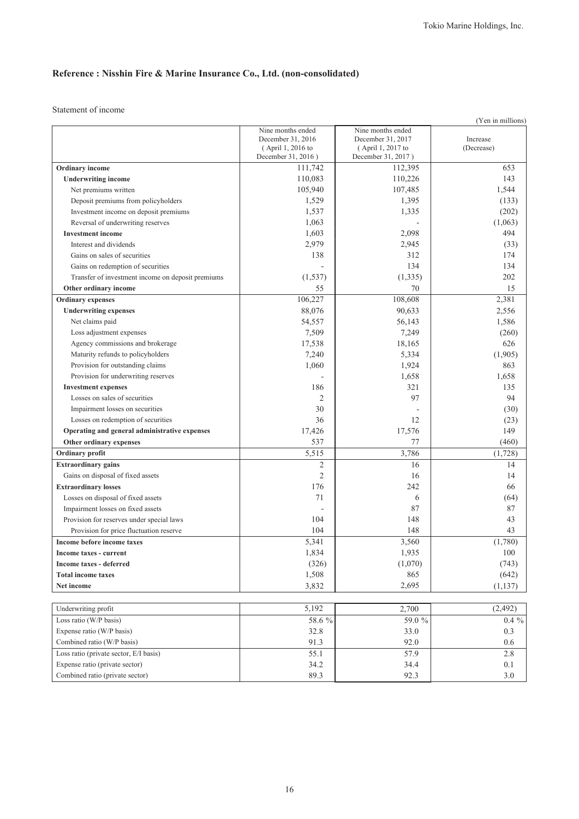Statement of income

|                                                                         |                                         |                                         | (Yen in millions) |
|-------------------------------------------------------------------------|-----------------------------------------|-----------------------------------------|-------------------|
|                                                                         | Nine months ended                       | Nine months ended                       |                   |
|                                                                         | December 31, 2016                       | December 31, 2017                       | Increase          |
|                                                                         | (April 1, 2016 to<br>December 31, 2016) | (April 1, 2017 to<br>December 31, 2017) | (Decrease)        |
| Ordinary income                                                         | 111,742                                 | 112,395                                 | 653               |
| <b>Underwriting income</b>                                              | 110,083                                 | 110,226                                 | 143               |
| Net premiums written                                                    | 105,940                                 | 107,485                                 | 1,544             |
| Deposit premiums from policyholders                                     | 1,529                                   | 1,395                                   | (133)             |
| Investment income on deposit premiums                                   | 1,537                                   | 1,335                                   | (202)             |
| Reversal of underwriting reserves                                       | 1,063                                   |                                         | (1,063)           |
| <b>Investment</b> income                                                | 1,603                                   | 2,098                                   | 494               |
| Interest and dividends                                                  | 2,979                                   | 2,945                                   | (33)              |
| Gains on sales of securities                                            | 138                                     | 312                                     | 174               |
| Gains on redemption of securities                                       |                                         | 134                                     | 134               |
| Transfer of investment income on deposit premiums                       | (1, 537)                                | (1, 335)                                | 202               |
| Other ordinary income                                                   | 55                                      | 70                                      | 15                |
| <b>Ordinary</b> expenses                                                | 106,227                                 | 108,608                                 | 2,381             |
| <b>Underwriting expenses</b>                                            | 88,076                                  | 90,633                                  | 2,556             |
| Net claims paid                                                         | 54,557                                  | 56,143                                  | 1,586             |
| Loss adjustment expenses                                                | 7,509                                   | 7,249                                   | (260)             |
| Agency commissions and brokerage                                        |                                         | 18,165                                  | 626               |
|                                                                         | 17,538                                  |                                         |                   |
| Maturity refunds to policyholders                                       | 7,240<br>1,060                          | 5,334                                   | (1,905)<br>863    |
| Provision for outstanding claims<br>Provision for underwriting reserves |                                         | 1,924                                   |                   |
|                                                                         |                                         | 1,658                                   | 1,658             |
| <b>Investment expenses</b>                                              | 186                                     | 321                                     | 135               |
| Losses on sales of securities                                           | $\overline{2}$                          | 97                                      | 94                |
| Impairment losses on securities                                         | 30                                      |                                         | (30)              |
| Losses on redemption of securities                                      | 36                                      | 12                                      | (23)              |
| Operating and general administrative expenses                           | 17,426                                  | 17,576                                  | 149               |
| Other ordinary expenses                                                 | 537                                     | 77                                      | (460)             |
| Ordinary profit                                                         | 5,515                                   | 3,786                                   | (1,728)           |
| <b>Extraordinary gains</b>                                              | $\overline{2}$                          | 16                                      | 14                |
| Gains on disposal of fixed assets                                       | $\overline{2}$                          | 16                                      | 14                |
| <b>Extraordinary losses</b>                                             | 176                                     | 242                                     | 66                |
| Losses on disposal of fixed assets                                      | 71                                      | 6                                       | (64)              |
| Impairment losses on fixed assets                                       |                                         | 87                                      | 87                |
| Provision for reserves under special laws                               | 104                                     | 148                                     | 43                |
| Provision for price fluctuation reserve                                 | 104                                     | 148                                     | 43                |
| Income before income taxes                                              | 5,341                                   | 3,560                                   | (1,780)           |
| Income taxes - current                                                  | 1,834                                   | 1,935                                   | 100               |
| Income taxes - deferred                                                 | (326)                                   | (1,070)                                 | (743)             |
| <b>Total income taxes</b>                                               | 1,508                                   | 865                                     | (642)             |
| Net income                                                              | 3,832                                   | 2,695                                   | (1,137)           |
|                                                                         |                                         |                                         |                   |
| Underwriting profit                                                     | 5,192                                   | 2,700                                   | (2, 492)          |
| Loss ratio (W/P basis)                                                  | 58.6 %                                  | 59.0 %                                  | $0.4~\%$          |
| Expense ratio (W/P basis)                                               | 32.8                                    | 33.0                                    | 0.3               |
| Combined ratio (W/P basis)                                              | 91.3                                    | 92.0                                    | 0.6               |
| Loss ratio (private sector, E/I basis)                                  | 55.1                                    | 57.9                                    | 2.8               |
| Expense ratio (private sector)                                          | 34.2                                    | 34.4                                    | 0.1               |
| Combined ratio (private sector)                                         | 89.3                                    | 92.3                                    | 3.0               |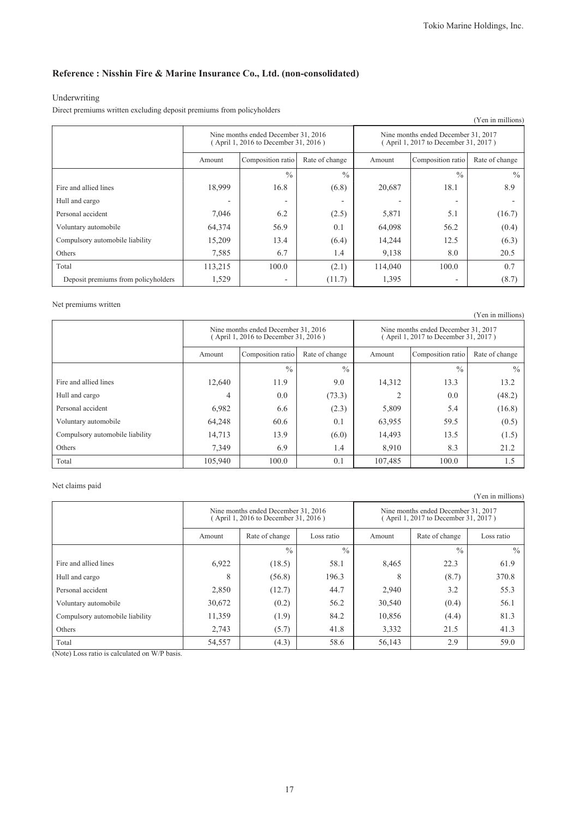### Underwriting

Direct premiums written excluding deposit premiums from policyholders

|                                     |                                                                             |                   |                |                                                                             |                   | (Yen in millions) |
|-------------------------------------|-----------------------------------------------------------------------------|-------------------|----------------|-----------------------------------------------------------------------------|-------------------|-------------------|
|                                     | Nine months ended December 31, 2016<br>(April 1, 2016 to December 31, 2016) |                   |                | Nine months ended December 31, 2017<br>(April 1, 2017 to December 31, 2017) |                   |                   |
|                                     | Amount                                                                      | Composition ratio | Rate of change | Amount                                                                      | Composition ratio | Rate of change    |
|                                     |                                                                             | $\frac{0}{0}$     | $\frac{0}{0}$  |                                                                             | $\frac{0}{0}$     | $\frac{0}{0}$     |
| Fire and allied lines               | 18,999                                                                      | 16.8              | (6.8)          | 20,687                                                                      | 18.1              | 8.9               |
| Hull and cargo                      | ٠                                                                           |                   | ۰              |                                                                             |                   |                   |
| Personal accident                   | 7,046                                                                       | 6.2               | (2.5)          | 5,871                                                                       | 5.1               | (16.7)            |
| Voluntary automobile                | 64,374                                                                      | 56.9              | 0.1            | 64,098                                                                      | 56.2              | (0.4)             |
| Compulsory automobile liability     | 15,209                                                                      | 13.4              | (6.4)          | 14,244                                                                      | 12.5              | (6.3)             |
| Others                              | 7,585                                                                       | 6.7               | 1.4            | 9,138                                                                       | 8.0               | 20.5              |
| Total                               | 113,215                                                                     | 100.0             | (2.1)          | 114,040                                                                     | 100.0             | 0.7               |
| Deposit premiums from policyholders | 1,529                                                                       |                   | (11.7)         | 1,395                                                                       |                   | (8.7)             |

### Net premiums written

|                                 |                                                                             |                                     |               |                                                                             |                   | (Yen in millions) |
|---------------------------------|-----------------------------------------------------------------------------|-------------------------------------|---------------|-----------------------------------------------------------------------------|-------------------|-------------------|
|                                 | Nine months ended December 31, 2016<br>(April 1, 2016 to December 31, 2016) |                                     |               | Nine months ended December 31, 2017<br>(April 1, 2017 to December 31, 2017) |                   |                   |
|                                 | Amount                                                                      | Composition ratio<br>Rate of change |               | Amount                                                                      | Composition ratio | Rate of change    |
|                                 |                                                                             | $\frac{0}{0}$                       | $\frac{0}{0}$ |                                                                             | $\frac{0}{0}$     | $\frac{0}{0}$     |
| Fire and allied lines           | 12,640                                                                      | 11.9                                | 9.0           | 14,312                                                                      | 13.3              | 13.2              |
| Hull and cargo                  | 4                                                                           | 0.0                                 | (73.3)        |                                                                             | 0.0               | (48.2)            |
| Personal accident               | 6,982                                                                       | 6.6                                 | (2.3)         | 5,809                                                                       | 5.4               | (16.8)            |
| Voluntary automobile            | 64,248                                                                      | 60.6                                | 0.1           | 63,955                                                                      | 59.5              | (0.5)             |
| Compulsory automobile liability | 14,713                                                                      | 13.9                                | (6.0)         | 14,493                                                                      | 13.5              | (1.5)             |
| Others                          | 7,349                                                                       | 6.9                                 | 1.4           | 8,910                                                                       | 8.3               | 21.2              |
| Total                           | 105,940                                                                     | 100.0                               | 0.1           | 107,485                                                                     | 100.0             | 1.5               |

### Net claims paid

|                                 |                                                                             |                |               |                                                                             |                | (Yen in millions) |
|---------------------------------|-----------------------------------------------------------------------------|----------------|---------------|-----------------------------------------------------------------------------|----------------|-------------------|
|                                 | Nine months ended December 31, 2016<br>(April 1, 2016 to December 31, 2016) |                |               | Nine months ended December 31, 2017<br>(April 1, 2017 to December 31, 2017) |                |                   |
|                                 | Amount                                                                      | Rate of change | Loss ratio    | Amount                                                                      | Rate of change | Loss ratio        |
|                                 |                                                                             | $\frac{0}{0}$  | $\frac{0}{0}$ |                                                                             | $\frac{0}{0}$  | $\frac{0}{0}$     |
| Fire and allied lines           | 6,922                                                                       | (18.5)         | 58.1          | 8,465                                                                       | 22.3           | 61.9              |
| Hull and cargo                  | 8                                                                           | (56.8)         | 196.3         | 8                                                                           | (8.7)          | 370.8             |
| Personal accident               | 2,850                                                                       | (12.7)         | 44.7          | 2,940                                                                       | 3.2            | 55.3              |
| Voluntary automobile            | 30,672                                                                      | (0.2)          | 56.2          | 30,540                                                                      | (0.4)          | 56.1              |
| Compulsory automobile liability | 11,359                                                                      | (1.9)          | 84.2          | 10,856                                                                      | (4.4)          | 81.3              |
| Others                          | 2.743                                                                       | (5.7)          | 41.8          | 3,332                                                                       | 21.5           | 41.3              |
| Total                           | 54,557                                                                      | (4.3)          | 58.6          | 56,143                                                                      | 2.9            | 59.0              |

(Note) Loss ratio is calculated on W/P basis.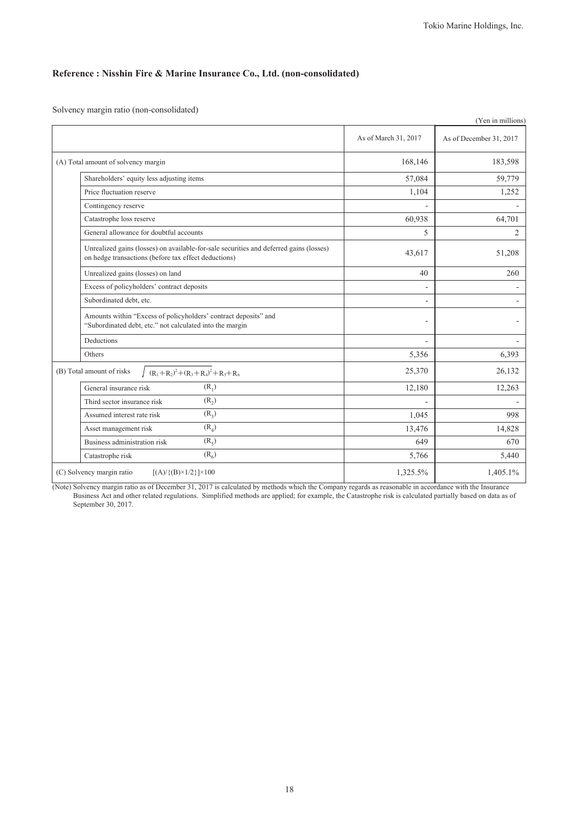Solvency margin ratio (non-consolidated)

|                                                                                                                                                |                      | (Yen in millions)       |
|------------------------------------------------------------------------------------------------------------------------------------------------|----------------------|-------------------------|
|                                                                                                                                                | As of March 31, 2017 | As of December 31, 2017 |
| (A) Total amount of solvency margin                                                                                                            | 168,146              | 183,598                 |
| Shareholders' equity less adjusting items                                                                                                      | 57,084               | 59,779                  |
| Price fluctuation reserve                                                                                                                      | 1,104                | 1,252                   |
| Contingency reserve                                                                                                                            |                      |                         |
| Catastrophe loss reserve                                                                                                                       | 60,938               | 64,701                  |
| General allowance for doubtful accounts                                                                                                        | 5                    | $\overline{2}$          |
| Unrealized gains (losses) on available-for-sale securities and deferred gains (losses)<br>on hedge transactions (before tax effect deductions) | 43,617               | 51,208                  |
| Unrealized gains (losses) on land                                                                                                              | 40                   | 260                     |
| Excess of policyholders' contract deposits                                                                                                     | $\overline{a}$       |                         |
| Subordinated debt, etc.                                                                                                                        |                      |                         |
| Amounts within "Excess of policyholders' contract deposits" and<br>"Subordinated debt, etc." not calculated into the margin                    |                      |                         |
| Deductions                                                                                                                                     |                      |                         |
| Others                                                                                                                                         | 5,356                | 6,393                   |
| $(R_1+R_2)^2+(R_3+R_4)^2+R_5+R_6$<br>(B) Total amount of risks                                                                                 | 25,370               | 26,132                  |
| $(R_1)$<br>General insurance risk                                                                                                              | 12,180               | 12,263                  |
| $(R_2)$<br>Third sector insurance risk                                                                                                         | L.                   |                         |
| $(R_2)$<br>Assumed interest rate risk                                                                                                          | 1,045                | 998                     |
| $(R_4)$<br>Asset management risk                                                                                                               | 13,476               | 14,828                  |
| $(R_5)$<br>Business administration risk                                                                                                        | 649                  | 670                     |
| $(R_6)$<br>Catastrophe risk                                                                                                                    | 5,766                | 5,440                   |
| (C) Solvency margin ratio<br>$[(A)/{(B)} \times 1/2] \times 100$                                                                               | 1,325.5%             | 1,405.1%                |

(Note) Solvency margin ratio as of December 31, 2017 is calculated by methods which the Company regards as reasonable in accordance with the Insurance Business Act and other related regulations. Simplified methods are applied; for example, the Catastrophe risk is calculated partially based on data as of September 30, 2017.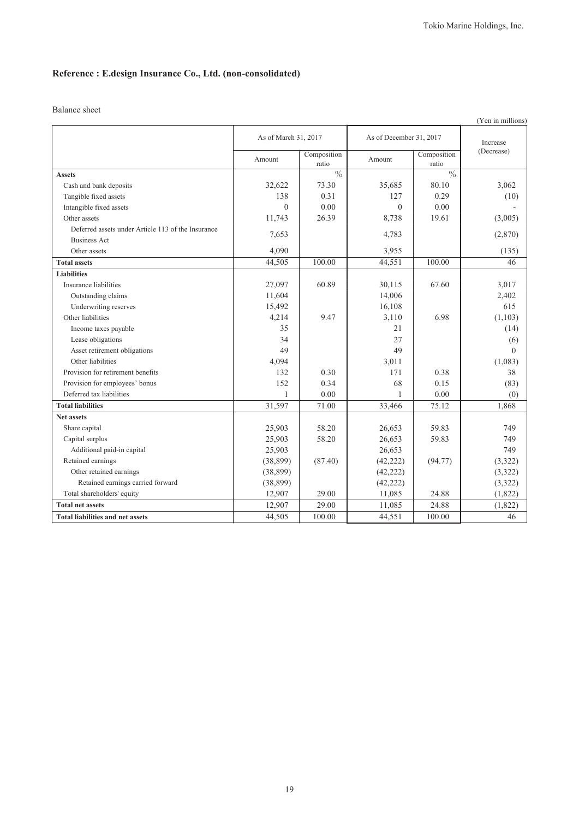# **Reference : E.design Insurance Co., Ltd. (non-consolidated)**

### Balance sheet

| (Yen in millions)                                  |                      |                      |                         |                      |            |
|----------------------------------------------------|----------------------|----------------------|-------------------------|----------------------|------------|
|                                                    | As of March 31, 2017 |                      | As of December 31, 2017 |                      | Increase   |
|                                                    | Amount               | Composition<br>ratio | Amount                  | Composition<br>ratio | (Decrease) |
| <b>Assets</b>                                      |                      | $\frac{0}{0}$        |                         | $\frac{0}{0}$        |            |
| Cash and bank deposits                             | 32,622               | 73.30                | 35,685                  | 80.10                | 3,062      |
| Tangible fixed assets                              | 138                  | 0.31                 | 127                     | 0.29                 | (10)       |
| Intangible fixed assets                            | $\theta$             | 0.00                 | $\theta$                | 0.00                 |            |
| Other assets                                       | 11,743               | 26.39                | 8,738                   | 19.61                | (3,005)    |
| Deferred assets under Article 113 of the Insurance | 7,653                |                      | 4,783                   |                      | (2,870)    |
| <b>Business Act</b>                                |                      |                      |                         |                      |            |
| Other assets                                       | 4,090                |                      | 3,955                   |                      | (135)      |
| <b>Total assets</b>                                | 44,505               | 100.00               | 44,551                  | 100.00               | 46         |
| <b>Liabilities</b>                                 |                      |                      |                         |                      |            |
| Insurance liabilities                              | 27,097               | 60.89                | 30,115                  | 67.60                | 3,017      |
| Outstanding claims                                 | 11,604               |                      | 14,006                  |                      | 2,402      |
| Underwriting reserves                              | 15,492               |                      | 16,108                  |                      | 615        |
| Other liabilities                                  | 4,214                | 9.47                 | 3,110                   | 6.98                 | (1, 103)   |
| Income taxes payable                               | 35                   |                      | 21                      |                      | (14)       |
| Lease obligations                                  | 34                   |                      | 27                      |                      | (6)        |
| Asset retirement obligations                       | 49                   |                      | 49                      |                      | $\theta$   |
| Other liabilities                                  | 4,094                |                      | 3,011                   |                      | (1,083)    |
| Provision for retirement benefits                  | 132                  | 0.30                 | 171                     | 0.38                 | 38         |
| Provision for employees' bonus                     | 152                  | 0.34                 | 68                      | 0.15                 | (83)       |
| Deferred tax liabilities                           | $\mathbf{1}$         | 0.00                 | 1                       | 0.00                 | (0)        |
| <b>Total liabilities</b>                           | 31,597               | 71.00                | 33,466                  | 75.12                | 1,868      |
| <b>Net assets</b>                                  |                      |                      |                         |                      |            |
| Share capital                                      | 25,903               | 58.20                | 26,653                  | 59.83                | 749        |
| Capital surplus                                    | 25,903               | 58.20                | 26,653                  | 59.83                | 749        |
| Additional paid-in capital                         | 25,903               |                      | 26,653                  |                      | 749        |
| Retained earnings                                  | (38, 899)            | (87.40)              | (42, 222)               | (94.77)              | (3, 322)   |
| Other retained earnings                            | (38, 899)            |                      | (42, 222)               |                      | (3,322)    |
| Retained earnings carried forward                  | (38, 899)            |                      | (42, 222)               |                      | (3,322)    |
| Total shareholders' equity                         | 12,907               | 29.00                | 11,085                  | 24.88                | (1,822)    |
| <b>Total net assets</b>                            | 12,907               | 29.00                | 11,085                  | 24.88                | (1,822)    |
| <b>Total liabilities and net assets</b>            | 44,505               | 100.00               | 44,551                  | 100.00               | 46         |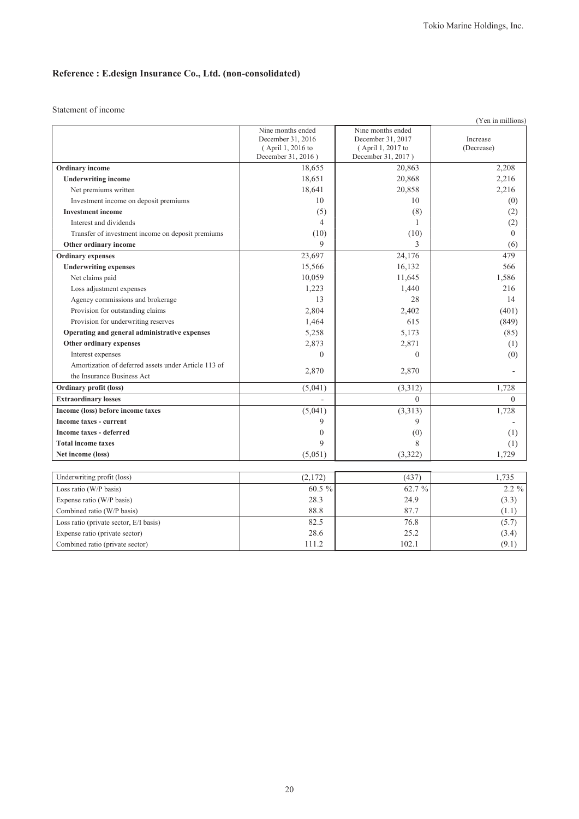# **Reference : E.design Insurance Co., Ltd. (non-consolidated)**

Statement of income

| (Yen in millions)                                    |                    |                    |                |  |  |
|------------------------------------------------------|--------------------|--------------------|----------------|--|--|
|                                                      | Nine months ended  | Nine months ended  |                |  |  |
|                                                      | December 31, 2016  | December 31, 2017  | Increase       |  |  |
|                                                      | (April 1, 2016 to  | (April 1, 2017 to  | (Decrease)     |  |  |
|                                                      | December 31, 2016) | December 31, 2017) |                |  |  |
| Ordinary income                                      | 18,655             | 20,863             | 2,208          |  |  |
| <b>Underwriting income</b>                           | 18,651             | 20,868             | 2,216          |  |  |
| Net premiums written                                 | 18,641             | 20,858             | 2,216          |  |  |
| Investment income on deposit premiums                | 10                 | 10                 | (0)            |  |  |
| <b>Investment</b> income                             | (5)                | (8)                | (2)            |  |  |
| Interest and dividends                               | $\overline{4}$     | 1                  | (2)            |  |  |
| Transfer of investment income on deposit premiums    | (10)               | (10)               | $\overline{0}$ |  |  |
| Other ordinary income                                | 9                  | 3                  | (6)            |  |  |
| <b>Ordinary</b> expenses                             | 23,697             | 24,176             | 479            |  |  |
| <b>Underwriting expenses</b>                         | 15,566             | 16,132             | 566            |  |  |
| Net claims paid                                      | 10,059             | 11,645             | 1,586          |  |  |
| Loss adjustment expenses                             | 1,223              | 1,440              | 216            |  |  |
| Agency commissions and brokerage                     | 13                 | 28                 | 14             |  |  |
| Provision for outstanding claims                     | 2,804              | 2,402              | (401)          |  |  |
| Provision for underwriting reserves                  | 1,464              | 615                | (849)          |  |  |
| Operating and general administrative expenses        | 5,258              | 5,173              | (85)           |  |  |
| Other ordinary expenses                              | 2,873              | 2,871              | (1)            |  |  |
| Interest expenses                                    | $\overline{0}$     | $\theta$           | (0)            |  |  |
| Amortization of deferred assets under Article 113 of |                    |                    |                |  |  |
| the Insurance Business Act                           | 2,870              | 2,870              |                |  |  |
| Ordinary profit (loss)                               | (5,041)            | (3,312)            | 1,728          |  |  |
| <b>Extraordinary losses</b>                          |                    | $\Omega$           | $\Omega$       |  |  |
| Income (loss) before income taxes                    | (5,041)            | (3,313)            | 1,728          |  |  |
| <b>Income taxes - current</b>                        | 9                  | 9                  |                |  |  |
| <b>Income taxes - deferred</b>                       | $\boldsymbol{0}$   | (0)                | (1)            |  |  |
| <b>Total income taxes</b>                            | 9                  | 8                  | (1)            |  |  |
| Net income (loss)                                    | (5,051)            | (3,322)            | 1,729          |  |  |
|                                                      |                    |                    |                |  |  |
| Underwriting profit (loss)                           | (2,172)            | (437)              | 1,735          |  |  |
| Loss ratio (W/P basis)                               | 60.5 %             | 62.7 %             | 2.2 %          |  |  |
| Expense ratio (W/P basis)                            | 28.3               | 24.9               | (3.3)          |  |  |
| Combined ratio (W/P basis)                           | 88.8               | 87.7               | (1.1)          |  |  |
| Loss ratio (private sector, E/I basis)               | 82.5               | 76.8               | (5.7)          |  |  |
| Expense ratio (private sector)                       | 28.6               | 25.2               | (3.4)          |  |  |
| Combined ratio (private sector)                      | 111.2              | 102.1              | (9.1)          |  |  |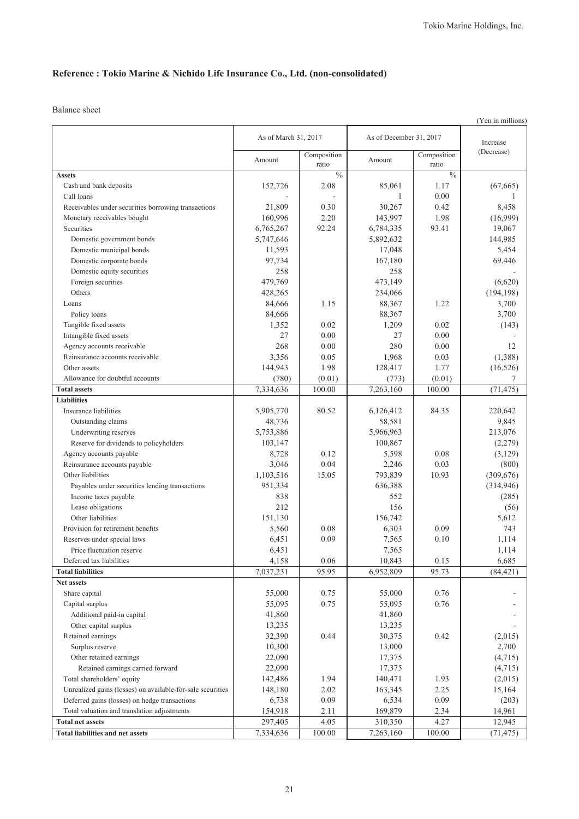Balance sheet

|                                                            |                      |                      |                         |                      | (Yen in millions) |
|------------------------------------------------------------|----------------------|----------------------|-------------------------|----------------------|-------------------|
|                                                            | As of March 31, 2017 |                      | As of December 31, 2017 | Increase             |                   |
|                                                            | Amount               | Composition<br>ratio | Amount                  | Composition<br>ratio | (Decrease)        |
| <b>Assets</b>                                              |                      | $\frac{0}{0}$        |                         | $\frac{0}{0}$        |                   |
| Cash and bank deposits                                     | 152,726              | 2.08                 | 85,061                  | 1.17                 | (67, 665)         |
| Call loans                                                 |                      |                      | 1                       | 0.00                 |                   |
| Receivables under securities borrowing transactions        | 21,809               | 0.30                 | 30,267                  | 0.42                 | 8,458             |
| Monetary receivables bought                                | 160,996              | 2.20                 | 143,997                 | 1.98                 | (16,999)          |
| Securities                                                 | 6,765,267            | 92.24                | 6,784,335               | 93.41                | 19,067            |
| Domestic government bonds                                  | 5,747,646            |                      | 5,892,632               |                      | 144,985           |
| Domestic municipal bonds                                   | 11,593               |                      | 17,048                  |                      | 5,454             |
| Domestic corporate bonds                                   | 97.734               |                      | 167,180                 |                      | 69,446            |
| Domestic equity securities                                 | 258                  |                      | 258                     |                      |                   |
| Foreign securities                                         | 479,769              |                      | 473,149                 |                      | (6,620)           |
| Others                                                     | 428,265              |                      | 234,066                 |                      | (194, 198)        |
| Loans                                                      | 84,666               | 1.15                 | 88,367                  | 1.22                 | 3,700             |
| Policy loans                                               | 84,666               |                      | 88,367                  |                      | 3,700             |
| Tangible fixed assets                                      | 1,352                | 0.02                 | 1,209                   | 0.02                 | (143)             |
| Intangible fixed assets                                    | 27                   | 0.00                 | 27                      | 0.00                 |                   |
| Agency accounts receivable                                 | 268                  | 0.00                 | 280                     | 0.00                 | 12                |
| Reinsurance accounts receivable                            | 3,356                | 0.05                 | 1,968                   | 0.03                 | (1,388)           |
| Other assets                                               | 144,943              | 1.98                 | 128,417                 | 1.77                 | (16, 526)         |
| Allowance for doubtful accounts                            | (780)                | (0.01)               | (773)                   | (0.01)               | 7                 |
| <b>Total assets</b>                                        | 7,334,636            | 100.00               | 7,263,160               | 100.00               | (71, 475)         |
| <b>Liabilities</b>                                         |                      |                      |                         |                      |                   |
| Insurance liabilities                                      | 5,905,770            | 80.52                | 6,126,412               | 84.35                | 220,642           |
| Outstanding claims                                         | 48,736               |                      | 58,581                  |                      | 9,845             |
| Underwriting reserves                                      | 5,753,886            |                      | 5,966,963               |                      | 213,076           |
| Reserve for dividends to policyholders                     | 103,147              |                      | 100,867                 |                      | (2,279)           |
| Agency accounts payable                                    | 8,728                | 0.12                 | 5,598                   | 0.08                 | (3,129)           |
| Reinsurance accounts payable                               | 3,046                | 0.04                 | 2,246                   | 0.03                 | (800)             |
| Other liabilities                                          | 1,103,516            | 15.05                | 793,839                 | 10.93                | (309, 676)        |
| Payables under securities lending transactions             | 951,334              |                      | 636,388                 |                      | (314, 946)        |
| Income taxes payable                                       | 838                  |                      | 552                     |                      | (285)             |
| Lease obligations                                          | 212                  |                      | 156                     |                      | (56)              |
| Other liabilities                                          | 151,130              |                      | 156,742                 |                      | 5,612             |
| Provision for retirement benefits                          | 5,560                | 0.08                 | 6,303                   | 0.09                 | 743               |
| Reserves under special laws<br>Price fluctuation reserve   | 6,451                | 0.09                 | 7,565                   | 0.10                 | 1,114             |
| Deferred tax liabilities                                   | 6,451<br>4,158       | 0.06                 | 7,565<br>10,843         | 0.15                 | 1,114<br>6,685    |
| <b>Total liabilities</b>                                   | 7,037,231            | 95.95                | 6,952,809               | 95.73                | (84, 421)         |
| Net assets                                                 |                      |                      |                         |                      |                   |
| Share capital                                              | 55,000               | 0.75                 | 55,000                  | 0.76                 |                   |
| Capital surplus                                            | 55,095               | 0.75                 | 55,095                  | 0.76                 |                   |
| Additional paid-in capital                                 | 41,860               |                      | 41,860                  |                      |                   |
| Other capital surplus                                      | 13,235               |                      | 13,235                  |                      |                   |
| Retained earnings                                          | 32,390               | 0.44                 | 30,375                  | 0.42                 | (2,015)           |
| Surplus reserve                                            | 10,300               |                      | 13,000                  |                      | 2,700             |
| Other retained earnings                                    | 22,090               |                      | 17,375                  |                      | (4,715)           |
| Retained earnings carried forward                          | 22,090               |                      | 17,375                  |                      | (4,715)           |
| Total shareholders' equity                                 | 142,486              | 1.94                 | 140,471                 | 1.93                 | (2,015)           |
| Unrealized gains (losses) on available-for-sale securities | 148,180              | 2.02                 | 163,345                 | 2.25                 | 15,164            |
| Deferred gains (losses) on hedge transactions              | 6,738                | 0.09                 | 6,534                   | 0.09                 | (203)             |
| Total valuation and translation adjustments                | 154,918              | 2.11                 | 169,879                 | 2.34                 | 14,961            |
| <b>Total net assets</b>                                    | 297,405              | 4.05                 | 310,350                 | 4.27                 | 12,945            |
| <b>Total liabilities and net assets</b>                    | 7,334,636            | 100.00               | 7,263,160               | 100.00               | (71, 475)         |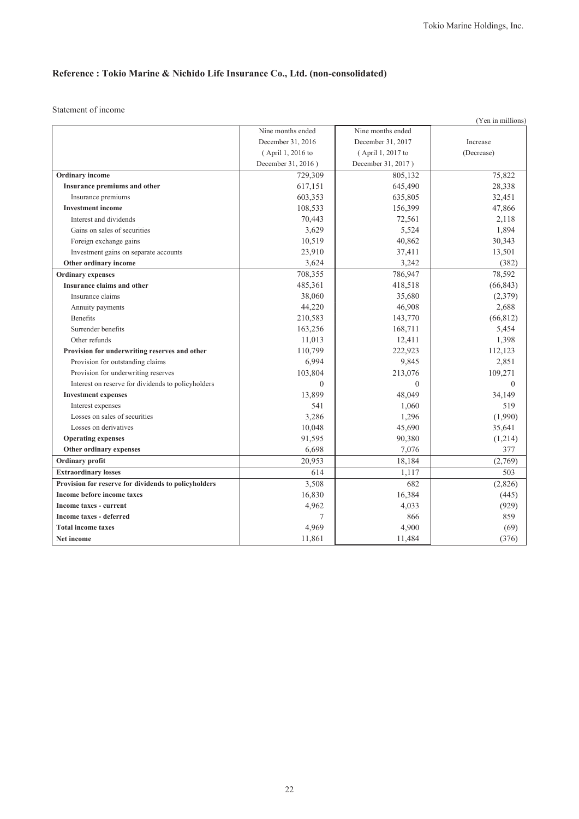Statement of income

|                                                      |                    |                    | (Yen in millions) |
|------------------------------------------------------|--------------------|--------------------|-------------------|
|                                                      | Nine months ended  | Nine months ended  |                   |
|                                                      | December 31, 2016  | December 31, 2017  | Increase          |
|                                                      | (April 1, 2016 to  | (April 1, 2017 to  | (Decrease)        |
|                                                      | December 31, 2016) | December 31, 2017) |                   |
| <b>Ordinary</b> income                               | 729,309            | 805,132            | 75,822            |
| Insurance premiums and other                         | 617,151            | 645,490            | 28,338            |
| Insurance premiums                                   | 603,353            | 635,805            | 32,451            |
| <b>Investment income</b>                             | 108,533            | 156,399            | 47,866            |
| Interest and dividends                               | 70,443             | 72,561             | 2,118             |
| Gains on sales of securities                         | 3,629              | 5,524              | 1,894             |
| Foreign exchange gains                               | 10,519             | 40,862             | 30,343            |
| Investment gains on separate accounts                | 23,910             | 37,411             | 13,501            |
| Other ordinary income                                | 3,624              | 3,242              | (382)             |
| <b>Ordinary</b> expenses                             | 708,355            | 786,947            | 78,592            |
| Insurance claims and other                           | 485,361            | 418,518            | (66, 843)         |
| Insurance claims                                     | 38,060             | 35,680             | (2,379)           |
| Annuity payments                                     | 44,220             | 46,908             | 2,688             |
| <b>Benefits</b>                                      | 210,583            | 143,770            | (66, 812)         |
| Surrender benefits                                   | 163,256            | 168,711            | 5,454             |
| Other refunds                                        | 11,013             | 12,411             | 1,398             |
| Provision for underwriting reserves and other        | 110,799            | 222,923            | 112,123           |
| Provision for outstanding claims                     | 6,994              | 9,845              | 2,851             |
| Provision for underwriting reserves                  | 103,804            | 213,076            | 109,271           |
| Interest on reserve for dividends to policyholders   | $\Omega$           | $\Omega$           | $\theta$          |
| <b>Investment expenses</b>                           | 13,899             | 48.049             | 34,149            |
| Interest expenses                                    | 541                | 1,060              | 519               |
| Losses on sales of securities                        | 3,286              | 1,296              | (1,990)           |
| Losses on derivatives                                | 10,048             | 45,690             | 35,641            |
| <b>Operating expenses</b>                            | 91,595             | 90,380             | (1,214)           |
| Other ordinary expenses                              | 6,698              | 7,076              | 377               |
| Ordinary profit                                      | 20,953             | 18,184             | (2,769)           |
| <b>Extraordinary losses</b>                          | 614                | 1,117              | 503               |
| Provision for reserve for dividends to policyholders | 3,508              | 682                | (2,826)           |
| Income before income taxes                           | 16,830             | 16,384             | (445)             |
| Income taxes - current                               | 4,962              | 4,033              | (929)             |
| <b>Income taxes - deferred</b>                       | 7                  | 866                | 859               |
| <b>Total income taxes</b>                            | 4,969              | 4,900              | (69)              |
| Net income                                           | 11,861             | 11,484             | (376)             |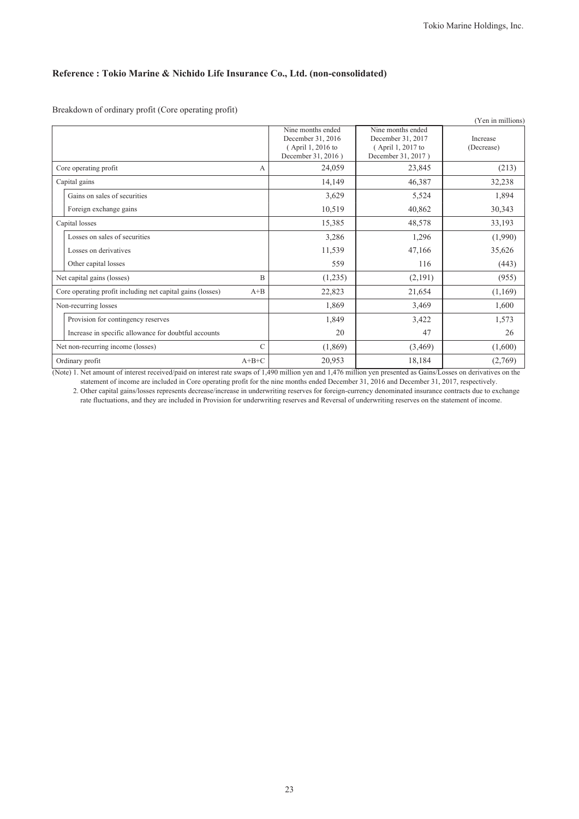Breakdown of ordinary profit (Core operating profit)

|                                                            |         |                                                                                   |                                                                                   | (Yen in millions)      |
|------------------------------------------------------------|---------|-----------------------------------------------------------------------------------|-----------------------------------------------------------------------------------|------------------------|
|                                                            |         | Nine months ended<br>December 31, 2016<br>(April 1, 2016 to<br>December 31, 2016) | Nine months ended<br>December 31, 2017<br>(April 1, 2017 to<br>December 31, 2017) | Increase<br>(Decrease) |
| Core operating profit                                      | А       | 24,059                                                                            | 23,845                                                                            | (213)                  |
| Capital gains                                              |         | 14,149                                                                            | 46,387                                                                            | 32,238                 |
| Gains on sales of securities                               |         | 3,629                                                                             | 5,524                                                                             | 1,894                  |
| Foreign exchange gains                                     |         | 10,519                                                                            | 40,862                                                                            | 30,343                 |
| Capital losses                                             |         | 15,385                                                                            | 48,578                                                                            | 33,193                 |
| Losses on sales of securities                              |         | 3,286                                                                             | 1,296                                                                             | (1,990)                |
| Losses on derivatives                                      |         | 11,539                                                                            | 47,166                                                                            | 35,626                 |
| Other capital losses                                       |         | 559                                                                               | 116                                                                               | (443)                  |
| Net capital gains (losses)                                 | B       | (1,235)                                                                           | (2,191)                                                                           | (955)                  |
| Core operating profit including net capital gains (losses) | $A + B$ | 22,823                                                                            | 21,654                                                                            | (1,169)                |
| Non-recurring losses                                       |         | 1,869                                                                             | 3,469                                                                             | 1,600                  |
| Provision for contingency reserves                         |         | 1,849                                                                             | 3,422                                                                             | 1,573                  |
| Increase in specific allowance for doubtful accounts       |         | 20                                                                                | 47                                                                                | 26                     |
| Net non-recurring income (losses)                          | (1,869) | (3,469)                                                                           | (1,600)                                                                           |                        |
| Ordinary profit                                            | 20,953  | 18,184                                                                            | (2,769)                                                                           |                        |

(Note) 1. Net amount of interest received/paid on interest rate swaps of 1,490 million yen and 1,476 million yen presented as Gains/Losses on derivatives on the statement of income are included in Core operating profit for the nine months ended December 31, 2016 and December 31, 2017, respectively.

2. Other capital gains/losses represents decrease/increase in underwriting reserves for foreign-currency denominated insurance contracts due to exchange rate fluctuations, and they are included in Provision for underwriting reserves and Reversal of underwriting reserves on the statement of income.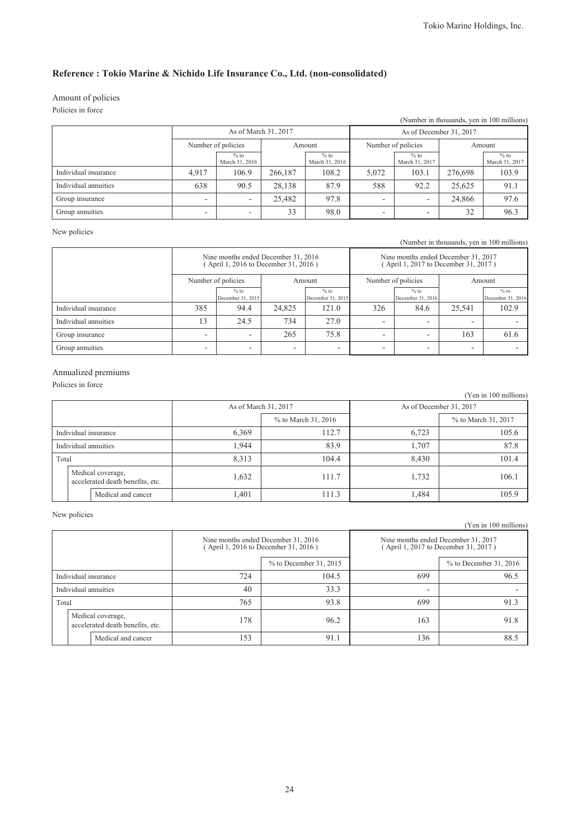## Amount of policies

Policies in force

| (Number in thousands, yen in 100 millions) |                      |                          |         |                          |                          |                          |         |                          |
|--------------------------------------------|----------------------|--------------------------|---------|--------------------------|--------------------------|--------------------------|---------|--------------------------|
|                                            | As of March 31, 2017 |                          |         |                          | As of December 31, 2017  |                          |         |                          |
|                                            | Number of policies   |                          | Amount  |                          | Number of policies       |                          | Amount  |                          |
|                                            |                      | $%$ to<br>March 31, 2016 |         | $%$ to<br>March 31, 2016 |                          | $%$ to<br>March 31, 2017 |         | $%$ to<br>March 31, 2017 |
| Individual insurance                       | 4.917                | 106.9                    | 266,187 | 108.2                    | 5,072                    | 103.1                    | 276.698 | 103.9                    |
| Individual annuities                       | 638                  | 90.5                     | 28,138  | 87.9                     | 588                      | 92.2                     | 25.625  | 91.1                     |
| Group insurance                            | ۰                    | $\overline{\phantom{a}}$ | 25,482  | 97.8                     | $\overline{\phantom{0}}$ |                          | 24,866  | 97.6                     |
| Group annuities                            | ۰                    | ۰                        | 33      | 98.0                     | $\overline{\phantom{0}}$ | -                        | 32      | 96.3                     |

### New policies

(Number in thousands, yen in 100 millions)

|                      | Nine months ended December 31, 2016<br>April 1, 2016 to December 31, 2016) |                             |                          |                             | Nine months ended December 31, 2017<br>(April 1, 2017 to December 31, 2017) |                             |                          |                             |
|----------------------|----------------------------------------------------------------------------|-----------------------------|--------------------------|-----------------------------|-----------------------------------------------------------------------------|-----------------------------|--------------------------|-----------------------------|
|                      | Number of policies                                                         |                             | Amount                   |                             | Number of policies                                                          |                             | Amount                   |                             |
|                      |                                                                            | $%$ to<br>December 31, 2015 |                          | $%$ to<br>December 31, 2015 |                                                                             | $%$ to<br>December 31, 2016 |                          | $%$ to<br>December 31, 2016 |
| Individual insurance | 385                                                                        | 94.4                        | 24.825                   | 121.0                       | 326                                                                         | 84.6                        | 25.541                   | 102.9                       |
| Individual annuities | 13                                                                         | 24.5                        | 734                      | 27.0                        | -                                                                           | -                           | $\overline{\phantom{0}}$ |                             |
| Group insurance      | $\overline{\phantom{0}}$                                                   |                             | 265                      | 75.8                        | ۰                                                                           |                             | 163                      | 61.6                        |
| Group annuities      | ۰                                                                          | -                           | $\overline{\phantom{0}}$ | -                           | ۰                                                                           | -                           | -                        |                             |

### Annualized premiums

Policies in force

|       |                                                       |       |                      |       | (Yen in 100 millions)   |  |  |
|-------|-------------------------------------------------------|-------|----------------------|-------|-------------------------|--|--|
|       |                                                       |       | As of March 31, 2017 |       | As of December 31, 2017 |  |  |
|       |                                                       |       | % to March 31, 2016  |       | % to March 31, 2017     |  |  |
|       | Individual insurance                                  | 6,369 | 112.7                | 6,723 | 105.6                   |  |  |
|       | Individual annuities                                  | 1.944 | 83.9                 | 1,707 | 87.8                    |  |  |
| Total |                                                       | 8,313 | 104.4                | 8,430 | 101.4                   |  |  |
|       | Medical coverage,<br>accelerated death benefits, etc. | 1,632 | 111.7                | 1,732 | 106.1                   |  |  |
|       | Medical and cancer                                    | 1,401 | 111.3                | 1,484 | 105.9                   |  |  |

### New policies

(Yen in 100 millions)

|                      |                                                       | Nine months ended December 31, 2016<br>(April 1, 2016 to December 31, 2016) |                        | Nine months ended December 31, 2017<br>(April 1, 2017 to December 31, 2017) |                          |  |
|----------------------|-------------------------------------------------------|-----------------------------------------------------------------------------|------------------------|-----------------------------------------------------------------------------|--------------------------|--|
|                      |                                                       |                                                                             | % to December 31, 2015 |                                                                             | $%$ to December 31, 2016 |  |
| Individual insurance |                                                       | 724                                                                         | 104.5                  | 699                                                                         | 96.5                     |  |
| Individual annuities |                                                       | 40                                                                          | 33.3                   | ۰                                                                           |                          |  |
| Total                |                                                       | 765                                                                         | 93.8                   | 699                                                                         | 91.3                     |  |
|                      | Medical coverage,<br>accelerated death benefits, etc. | 178                                                                         | 96.2                   | 163                                                                         | 91.8                     |  |
|                      | Medical and cancer                                    | 153                                                                         | 91.1                   | 136                                                                         | 88.5                     |  |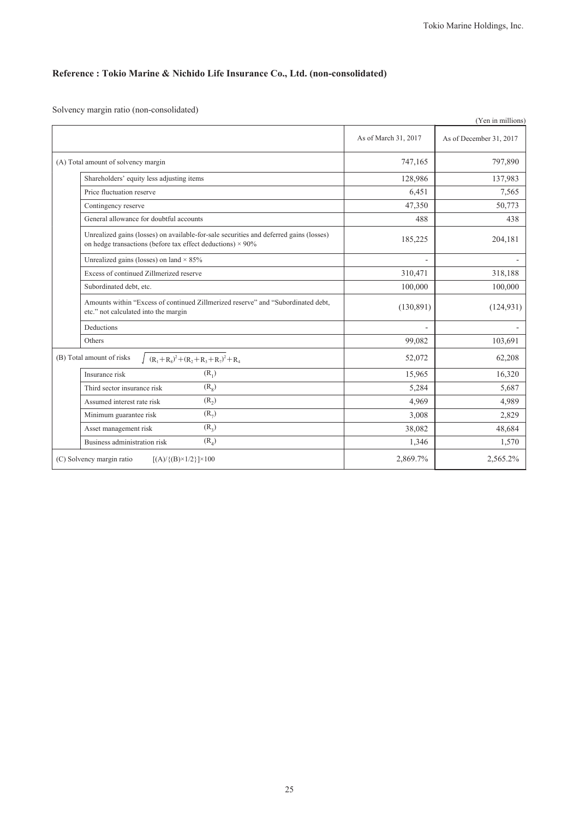Solvency margin ratio (non-consolidated)

|                                                                                                                                                             |                      | (Yen in millions)       |
|-------------------------------------------------------------------------------------------------------------------------------------------------------------|----------------------|-------------------------|
|                                                                                                                                                             | As of March 31, 2017 | As of December 31, 2017 |
| (A) Total amount of solvency margin                                                                                                                         | 747,165              | 797,890                 |
| Shareholders' equity less adjusting items                                                                                                                   | 128,986              | 137,983                 |
| Price fluctuation reserve                                                                                                                                   | 6,451                | 7,565                   |
| Contingency reserve                                                                                                                                         | 47,350               | 50,773                  |
| General allowance for doubtful accounts                                                                                                                     | 488                  | 438                     |
| Unrealized gains (losses) on available-for-sale securities and deferred gains (losses)<br>on hedge transactions (before tax effect deductions) $\times$ 90% | 185,225              | 204,181                 |
| Unrealized gains (losses) on land $\times$ 85%                                                                                                              | L,                   |                         |
| Excess of continued Zillmerized reserve                                                                                                                     | 310,471              | 318,188                 |
| Subordinated debt, etc.                                                                                                                                     | 100,000              | 100,000                 |
| Amounts within "Excess of continued Zillmerized reserve" and "Subordinated debt.<br>etc." not calculated into the margin                                    | (130, 891)           | (124, 931)              |
| Deductions                                                                                                                                                  |                      |                         |
| Others                                                                                                                                                      | 99,082               | 103,691                 |
| (B) Total amount of risks<br>$(R_1 + R_8)^2 + (R_2 + R_3 + R_7)^2 + R_4$                                                                                    | 52,072               | 62,208                  |
| $(R_1)$<br>Insurance risk                                                                                                                                   | 15,965               | 16,320                  |
| (R <sub>8</sub> )<br>Third sector insurance risk                                                                                                            | 5,284                | 5,687                   |
| $(R_2)$<br>Assumed interest rate risk                                                                                                                       | 4,969                | 4,989                   |
| $(R_7)$<br>Minimum guarantee risk                                                                                                                           | 3,008                | 2,829                   |
| $(R_2)$<br>Asset management risk                                                                                                                            | 38,082               | 48,684                  |
| $(R_4)$<br>Business administration risk                                                                                                                     | 1,346                | 1,570                   |
| (C) Solvency margin ratio<br>$[(A)/{(B)} \times 1/2] \times 100$                                                                                            | 2,869.7%             | 2,565.2%                |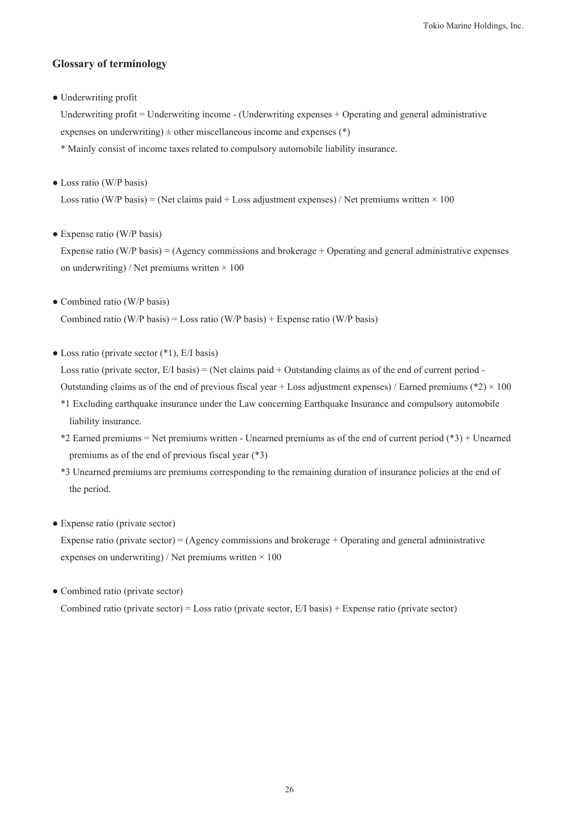## **Glossary of terminology**

● Underwriting profit

Underwriting profit = Underwriting income - (Underwriting expenses + Operating and general administrative expenses on underwriting)  $\pm$  other miscellaneous income and expenses (\*)

\* Mainly consist of income taxes related to compulsory automobile liability insurance.

• Loss ratio (W/P basis)

Loss ratio (W/P basis) = (Net claims paid + Loss adjustment expenses) / Net premiums written  $\times$  100

• Expense ratio (W/P basis)

Expense ratio (W/P basis) = (Agency commissions and brokerage + Operating and general administrative expenses on underwriting) / Net premiums written  $\times$  100

• Combined ratio (W/P basis)

Combined ratio (W/P basis) = Loss ratio (W/P basis) + Expense ratio (W/P basis)

 $\bullet$  Loss ratio (private sector  $(*1)$ , E/I basis)

Loss ratio (private sector,  $E/I$  basis) = (Net claims paid + Outstanding claims as of the end of current period -Outstanding claims as of the end of previous fiscal year + Loss adjustment expenses) / Earned premiums (\*2)  $\times$  100

- \*1 Excluding earthquake insurance under the Law concerning Earthquake Insurance and compulsory automobile liability insurance.
- \*2 Earned premiums = Net premiums written Unearned premiums as of the end of current period (\*3) + Unearned premiums as of the end of previous fiscal year (\*3)
- \*3 Unearned premiums are premiums corresponding to the remaining duration of insurance policies at the end of the period.
- Expense ratio (private sector)

Expense ratio (private sector) =  $(Agency$  commissions and brokerage + Operating and general administrative expenses on underwriting) / Net premiums written  $\times$  100

• Combined ratio (private sector)

Combined ratio (private sector) = Loss ratio (private sector, E/I basis) + Expense ratio (private sector)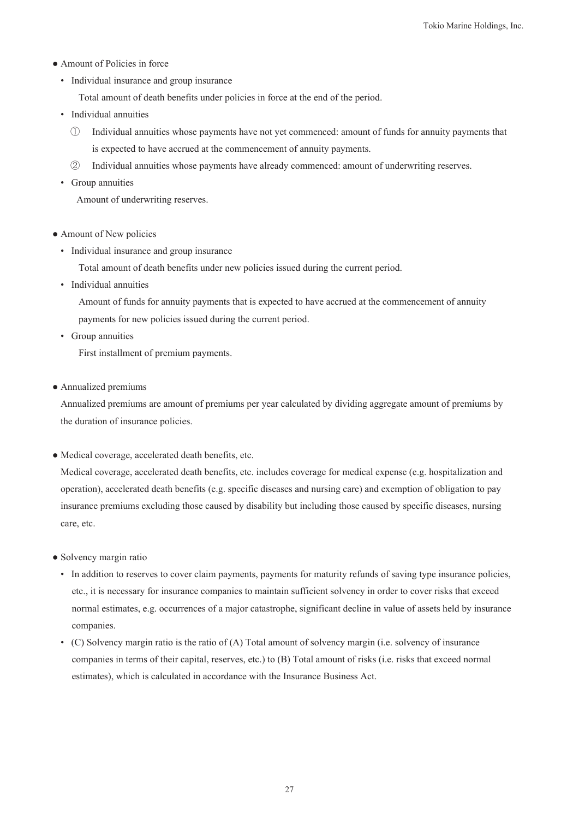- Amount of Policies in force
	- Individual insurance and group insurance

Total amount of death benefits under policies in force at the end of the period.

- Individual annuities
	- ① Individual annuities whose payments have not yet commenced: amount of funds for annuity payments that is expected to have accrued at the commencement of annuity payments.
	- ② Individual annuities whose payments have already commenced: amount of underwriting reserves.
- Group annuities

Amount of underwriting reserves.

- Amount of New policies
	- Individual insurance and group insurance

Total amount of death benefits under new policies issued during the current period.

• Individual annuities

Amount of funds for annuity payments that is expected to have accrued at the commencement of annuity payments for new policies issued during the current period.

• Group annuities

First installment of premium payments.

● Annualized premiums

Annualized premiums are amount of premiums per year calculated by dividing aggregate amount of premiums by the duration of insurance policies.

● Medical coverage, accelerated death benefits, etc.

Medical coverage, accelerated death benefits, etc. includes coverage for medical expense (e.g. hospitalization and operation), accelerated death benefits (e.g. specific diseases and nursing care) and exemption of obligation to pay insurance premiums excluding those caused by disability but including those caused by specific diseases, nursing care, etc.

- Solvency margin ratio
	- In addition to reserves to cover claim payments, payments for maturity refunds of saving type insurance policies, etc., it is necessary for insurance companies to maintain sufficient solvency in order to cover risks that exceed normal estimates, e.g. occurrences of a major catastrophe, significant decline in value of assets held by insurance companies.
	- (C) Solvency margin ratio is the ratio of (A) Total amount of solvency margin (i.e. solvency of insurance companies in terms of their capital, reserves, etc.) to (B) Total amount of risks (i.e. risks that exceed normal estimates), which is calculated in accordance with the Insurance Business Act.